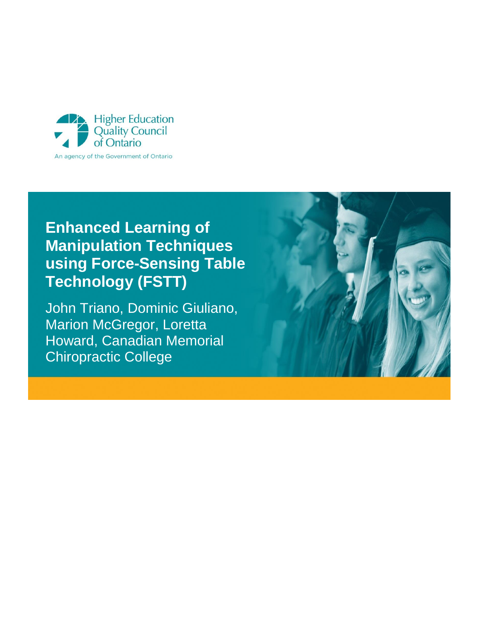

# **Enhanced Learning of Manipulation Techniques using Force-Sensing Table Technology (FSTT)**

John Triano, Dominic Giuliano, Marion McGregor, Loretta Howard, Canadian Memorial Chiropractic College

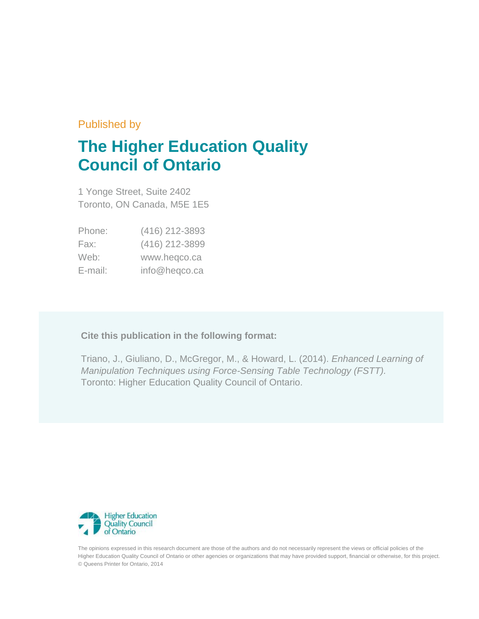## Published by

# **The Higher Education Quality Council of Ontario**

1 Yonge Street, Suite 2402 Toronto, ON Canada, M5E 1E5

| Phone:  | (416) 212-3893 |
|---------|----------------|
| Fax:    | (416) 212-3899 |
| Web:    | www.heqco.ca   |
| E-mail: | info@heqco.ca  |

## **Cite this publication in the following format:**

Triano, J., Giuliano, D., McGregor, M., & Howard, L. (2014). *Enhanced Learning of Manipulation Techniques using Force-Sensing Table Technology (FSTT).* Toronto: Higher Education Quality Council of Ontario.



The opinions expressed in this research document are those of the authors and do not necessarily represent the views or official policies of the Higher Education Quality Council of Ontario or other agencies or organizations that may have provided support, financial or otherwise, for this project. © Queens Printer for Ontario, 2014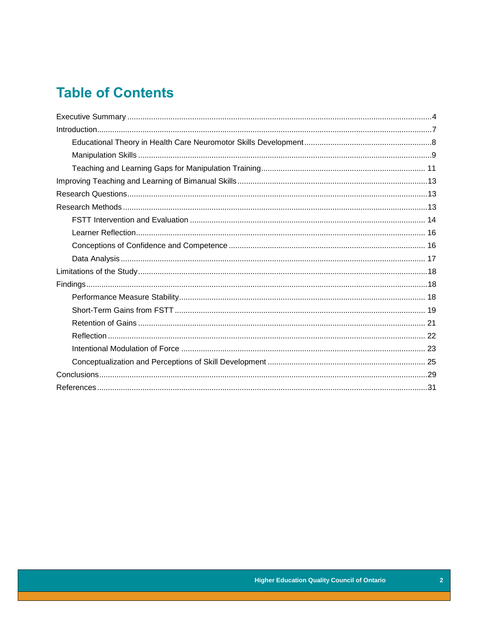# **Table of Contents**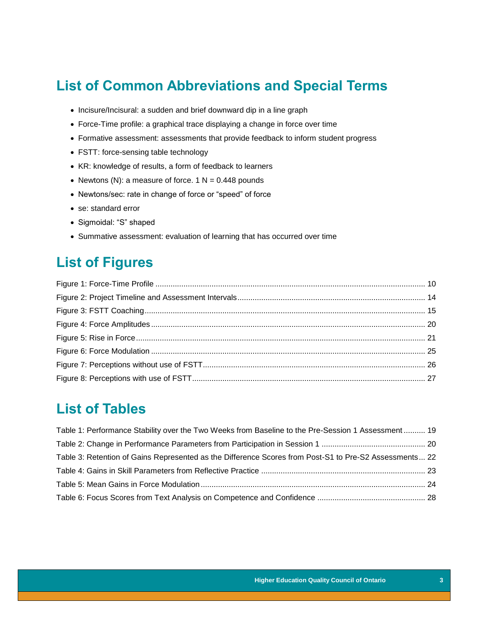# **List of Common Abbreviations and Special Terms**

- Incisure/Incisural: a sudden and brief downward dip in a line graph
- Force-Time profile: a graphical trace displaying a change in force over time
- Formative assessment: assessments that provide feedback to inform student progress
- FSTT: force-sensing table technology
- KR: knowledge of results, a form of feedback to learners
- Newtons (N): a measure of force.  $1 N = 0.448$  pounds
- Newtons/sec: rate in change of force or "speed" of force
- se: standard error
- Sigmoidal: "S" shaped
- Summative assessment: evaluation of learning that has occurred over time

# **List of Figures**

## **List of Tables**

| Table 1: Performance Stability over the Two Weeks from Baseline to the Pre-Session 1 Assessment 19     |  |
|--------------------------------------------------------------------------------------------------------|--|
|                                                                                                        |  |
| Table 3: Retention of Gains Represented as the Difference Scores from Post-S1 to Pre-S2 Assessments 22 |  |
|                                                                                                        |  |
|                                                                                                        |  |
|                                                                                                        |  |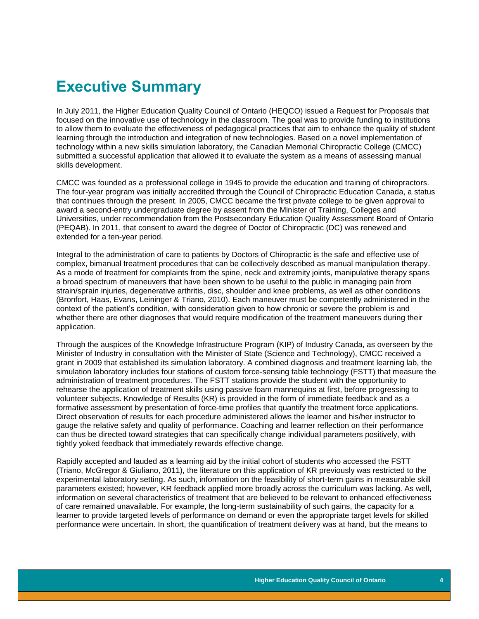# <span id="page-4-0"></span>**Executive Summary**

In July 2011, the Higher Education Quality Council of Ontario (HEQCO) issued a Request for Proposals that focused on the innovative use of technology in the classroom. The goal was to provide funding to institutions to allow them to evaluate the effectiveness of pedagogical practices that aim to enhance the quality of student learning through the introduction and integration of new technologies. Based on a novel implementation of technology within a new skills simulation laboratory, the Canadian Memorial Chiropractic College (CMCC) submitted a successful application that allowed it to evaluate the system as a means of assessing manual skills development.

CMCC was founded as a professional college in 1945 to provide the education and training of chiropractors. The four-year program was initially accredited through the Council of Chiropractic Education Canada, a status that continues through the present. In 2005, CMCC became the first private college to be given approval to award a second-entry undergraduate degree by assent from the Minister of Training, Colleges and Universities, under recommendation from the Postsecondary Education Quality Assessment Board of Ontario (PEQAB). In 2011, that consent to award the degree of Doctor of Chiropractic (DC) was renewed and extended for a ten-year period.

Integral to the administration of care to patients by Doctors of Chiropractic is the safe and effective use of complex, bimanual treatment procedures that can be collectively described as manual manipulation therapy. As a mode of treatment for complaints from the spine, neck and extremity joints, manipulative therapy spans a broad spectrum of maneuvers that have been shown to be useful to the public in managing pain from strain/sprain injuries, degenerative arthritis, disc, shoulder and knee problems, as well as other conditions (Bronfort, Haas, Evans, Leininger & Triano, 2010). Each maneuver must be competently administered in the context of the patient's condition, with consideration given to how chronic or severe the problem is and whether there are other diagnoses that would require modification of the treatment maneuvers during their application.

Through the auspices of the Knowledge Infrastructure Program (KIP) of Industry Canada, as overseen by the Minister of Industry in consultation with the Minister of State (Science and Technology), CMCC received a grant in 2009 that established its simulation laboratory. A combined diagnosis and treatment learning lab, the simulation laboratory includes four stations of custom force-sensing table technology (FSTT) that measure the administration of treatment procedures. The FSTT stations provide the student with the opportunity to rehearse the application of treatment skills using passive foam mannequins at first, before progressing to volunteer subjects. Knowledge of Results (KR) is provided in the form of immediate feedback and as a formative assessment by presentation of force-time profiles that quantify the treatment force applications. Direct observation of results for each procedure administered allows the learner and his/her instructor to gauge the relative safety and quality of performance. Coaching and learner reflection on their performance can thus be directed toward strategies that can specifically change individual parameters positively, with tightly yoked feedback that immediately rewards effective change.

Rapidly accepted and lauded as a learning aid by the initial cohort of students who accessed the FSTT (Triano, McGregor & Giuliano, 2011), the literature on this application of KR previously was restricted to the experimental laboratory setting. As such, information on the feasibility of short-term gains in measurable skill parameters existed; however, KR feedback applied more broadly across the curriculum was lacking. As well, information on several characteristics of treatment that are believed to be relevant to enhanced effectiveness of care remained unavailable. For example, the long-term sustainability of such gains, the capacity for a learner to provide targeted levels of performance on demand or even the appropriate target levels for skilled performance were uncertain. In short, the quantification of treatment delivery was at hand, but the means to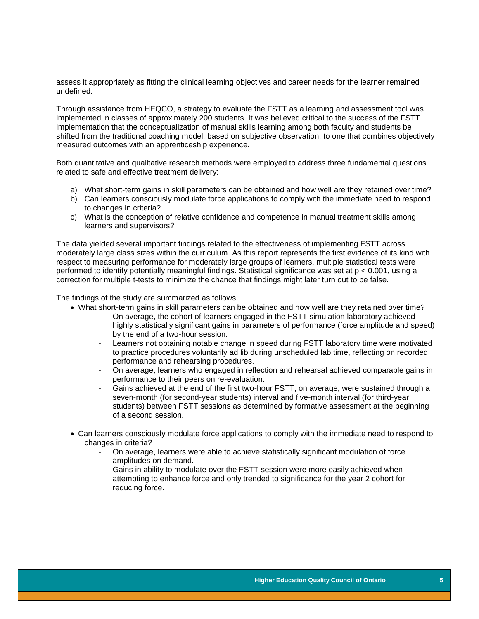assess it appropriately as fitting the clinical learning objectives and career needs for the learner remained undefined.

Through assistance from HEQCO, a strategy to evaluate the FSTT as a learning and assessment tool was implemented in classes of approximately 200 students. It was believed critical to the success of the FSTT implementation that the conceptualization of manual skills learning among both faculty and students be shifted from the traditional coaching model, based on subjective observation, to one that combines objectively measured outcomes with an apprenticeship experience.

Both quantitative and qualitative research methods were employed to address three fundamental questions related to safe and effective treatment delivery:

- a) What short-term gains in skill parameters can be obtained and how well are they retained over time?
- b) Can learners consciously modulate force applications to comply with the immediate need to respond to changes in criteria?
- c) What is the conception of relative confidence and competence in manual treatment skills among learners and supervisors?

The data yielded several important findings related to the effectiveness of implementing FSTT across moderately large class sizes within the curriculum. As this report represents the first evidence of its kind with respect to measuring performance for moderately large groups of learners, multiple statistical tests were performed to identify potentially meaningful findings. Statistical significance was set at p < 0.001, using a correction for multiple t-tests to minimize the chance that findings might later turn out to be false.

The findings of the study are summarized as follows:

- What short-term gains in skill parameters can be obtained and how well are they retained over time?
	- On average, the cohort of learners engaged in the FSTT simulation laboratory achieved highly statistically significant gains in parameters of performance (force amplitude and speed) by the end of a two-hour session.
	- Learners not obtaining notable change in speed during FSTT laboratory time were motivated to practice procedures voluntarily ad lib during unscheduled lab time, reflecting on recorded performance and rehearsing procedures.
	- On average, learners who engaged in reflection and rehearsal achieved comparable gains in performance to their peers on re-evaluation.
	- Gains achieved at the end of the first two-hour FSTT, on average, were sustained through a seven-month (for second-year students) interval and five-month interval (for third-year students) between FSTT sessions as determined by formative assessment at the beginning of a second session.
- Can learners consciously modulate force applications to comply with the immediate need to respond to changes in criteria?
	- On average, learners were able to achieve statistically significant modulation of force amplitudes on demand.
	- Gains in ability to modulate over the FSTT session were more easily achieved when attempting to enhance force and only trended to significance for the year 2 cohort for reducing force.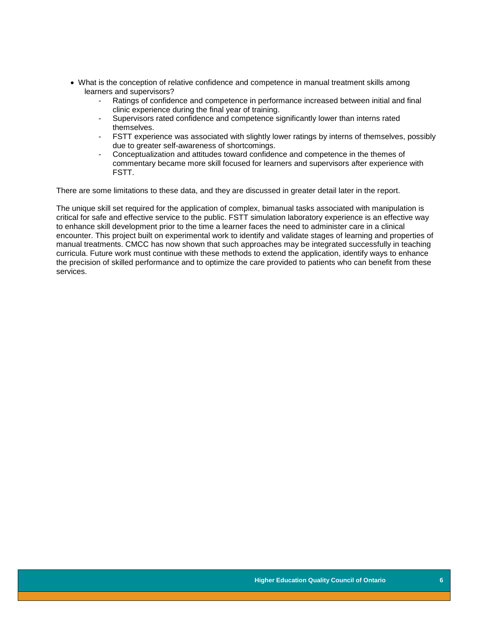- What is the conception of relative confidence and competence in manual treatment skills among learners and supervisors?
	- Ratings of confidence and competence in performance increased between initial and final clinic experience during the final year of training.
	- Supervisors rated confidence and competence significantly lower than interns rated themselves.
	- FSTT experience was associated with slightly lower ratings by interns of themselves, possibly due to greater self-awareness of shortcomings.
	- Conceptualization and attitudes toward confidence and competence in the themes of commentary became more skill focused for learners and supervisors after experience with FSTT.

There are some limitations to these data, and they are discussed in greater detail later in the report.

The unique skill set required for the application of complex, bimanual tasks associated with manipulation is critical for safe and effective service to the public. FSTT simulation laboratory experience is an effective way to enhance skill development prior to the time a learner faces the need to administer care in a clinical encounter. This project built on experimental work to identify and validate stages of learning and properties of manual treatments. CMCC has now shown that such approaches may be integrated successfully in teaching curricula. Future work must continue with these methods to extend the application, identify ways to enhance the precision of skilled performance and to optimize the care provided to patients who can benefit from these services.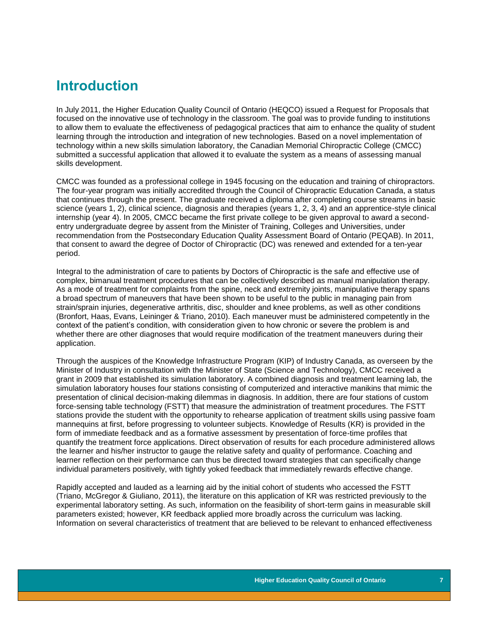## <span id="page-7-0"></span>**Introduction**

In July 2011, the Higher Education Quality Council of Ontario (HEQCO) issued a Request for Proposals that focused on the innovative use of technology in the classroom. The goal was to provide funding to institutions to allow them to evaluate the effectiveness of pedagogical practices that aim to enhance the quality of student learning through the introduction and integration of new technologies. Based on a novel implementation of technology within a new skills simulation laboratory, the Canadian Memorial Chiropractic College (CMCC) submitted a successful application that allowed it to evaluate the system as a means of assessing manual skills development.

CMCC was founded as a professional college in 1945 focusing on the education and training of chiropractors. The four-year program was initially accredited through the Council of Chiropractic Education Canada, a status that continues through the present. The graduate received a diploma after completing course streams in basic science (years 1, 2), clinical science, diagnosis and therapies (years 1, 2, 3, 4) and an apprentice-style clinical internship (year 4). In 2005, CMCC became the first private college to be given approval to award a secondentry undergraduate degree by assent from the Minister of Training, Colleges and Universities, under recommendation from the Postsecondary Education Quality Assessment Board of Ontario (PEQAB). In 2011, that consent to award the degree of Doctor of Chiropractic (DC) was renewed and extended for a ten-year period.

Integral to the administration of care to patients by Doctors of Chiropractic is the safe and effective use of complex, bimanual treatment procedures that can be collectively described as manual manipulation therapy. As a mode of treatment for complaints from the spine, neck and extremity joints, manipulative therapy spans a broad spectrum of maneuvers that have been shown to be useful to the public in managing pain from strain/sprain injuries, degenerative arthritis, disc, shoulder and knee problems, as well as other conditions (Bronfort, Haas, Evans, Leininger & Triano, 2010). Each maneuver must be administered competently in the context of the patient's condition, with consideration given to how chronic or severe the problem is and whether there are other diagnoses that would require modification of the treatment maneuvers during their application.

Through the auspices of the Knowledge Infrastructure Program (KIP) of Industry Canada, as overseen by the Minister of Industry in consultation with the Minister of State (Science and Technology), CMCC received a grant in 2009 that established its simulation laboratory. A combined diagnosis and treatment learning lab, the simulation laboratory houses four stations consisting of computerized and interactive manikins that mimic the presentation of clinical decision-making dilemmas in diagnosis. In addition, there are four stations of custom force-sensing table technology (FSTT) that measure the administration of treatment procedures. The FSTT stations provide the student with the opportunity to rehearse application of treatment skills using passive foam mannequins at first, before progressing to volunteer subjects. Knowledge of Results (KR) is provided in the form of immediate feedback and as a formative assessment by presentation of force-time profiles that quantify the treatment force applications. Direct observation of results for each procedure administered allows the learner and his/her instructor to gauge the relative safety and quality of performance. Coaching and learner reflection on their performance can thus be directed toward strategies that can specifically change individual parameters positively, with tightly yoked feedback that immediately rewards effective change.

Rapidly accepted and lauded as a learning aid by the initial cohort of students who accessed the FSTT (Triano, McGregor & Giuliano, 2011), the literature on this application of KR was restricted previously to the experimental laboratory setting. As such, information on the feasibility of short-term gains in measurable skill parameters existed; however, KR feedback applied more broadly across the curriculum was lacking. Information on several characteristics of treatment that are believed to be relevant to enhanced effectiveness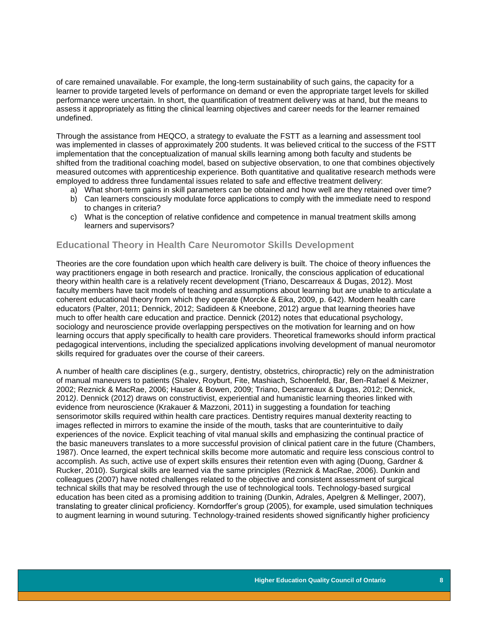of care remained unavailable. For example, the long-term sustainability of such gains, the capacity for a learner to provide targeted levels of performance on demand or even the appropriate target levels for skilled performance were uncertain. In short, the quantification of treatment delivery was at hand, but the means to assess it appropriately as fitting the clinical learning objectives and career needs for the learner remained undefined.

Through the assistance from HEQCO, a strategy to evaluate the FSTT as a learning and assessment tool was implemented in classes of approximately 200 students. It was believed critical to the success of the FSTT implementation that the conceptualization of manual skills learning among both faculty and students be shifted from the traditional coaching model, based on subjective observation, to one that combines objectively measured outcomes with apprenticeship experience. Both quantitative and qualitative research methods were employed to address three fundamental issues related to safe and effective treatment delivery:

- a) What short-term gains in skill parameters can be obtained and how well are they retained over time?
- b) Can learners consciously modulate force applications to comply with the immediate need to respond to changes in criteria?
- c) What is the conception of relative confidence and competence in manual treatment skills among learners and supervisors?

### <span id="page-8-0"></span>**Educational Theory in Health Care Neuromotor Skills Development**

Theories are the core foundation upon which health care delivery is built. The choice of theory influences the way practitioners engage in both research and practice. Ironically, the conscious application of educational theory within health care is a relatively recent development (Triano, Descarreaux & Dugas, 2012). Most faculty members have tacit models of teaching and assumptions about learning but are unable to articulate a coherent educational theory from which they operate (Morcke & Eika, 2009, p. 642). Modern health care educators (Palter, 2011; Dennick, 2012; Sadideen & Kneebone, 2012) argue that learning theories have much to offer health care education and practice. Dennick (2012) notes that educational psychology, sociology and neuroscience provide overlapping perspectives on the motivation for learning and on how learning occurs that apply specifically to health care providers. Theoretical frameworks should inform practical pedagogical interventions, including the specialized applications involving development of manual neuromotor skills required for graduates over the course of their careers.

A number of health care disciplines (e.g., surgery, dentistry, obstetrics, chiropractic) rely on the administration of manual maneuvers to patients (Shalev, Royburt, Fite, Mashiach, Schoenfeld, Bar, Ben-Rafael & Meizner, 2002; Reznick & MacRae, 2006; Hauser & Bowen, 2009; Triano, Descarreaux & Dugas, 2012; Dennick, 2012*)*. Dennick (2012) draws on constructivist, experiential and humanistic learning theories linked with evidence from neuroscience (Krakauer & Mazzoni, 2011) in suggesting a foundation for teaching sensorimotor skills required within health care practices. Dentistry requires manual dexterity reacting to images reflected in mirrors to examine the inside of the mouth, tasks that are counterintuitive to daily experiences of the novice. Explicit teaching of vital manual skills and emphasizing the continual practice of the basic maneuvers translates to a more successful provision of clinical patient care in the future (Chambers, 1987). Once learned, the expert technical skills become more automatic and require less conscious control to accomplish. As such, active use of expert skills ensures their retention even with aging (Duong, Gardner & Rucker, 2010). Surgical skills are learned via the same principles (Reznick & MacRae, 2006). Dunkin and colleagues (2007) have noted challenges related to the objective and consistent assessment of surgical technical skills that may be resolved through the use of technological tools. Technology-based surgical education has been cited as a promising addition to training (Dunkin, Adrales, Apelgren & Mellinger, 2007), translating to greater clinical proficiency. Korndorffer's group (2005), for example, used simulation techniques to augment learning in wound suturing. Technology-trained residents showed significantly higher proficiency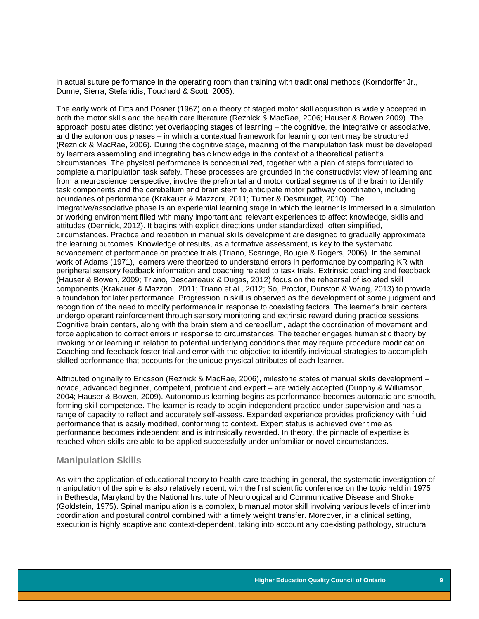in actual suture performance in the operating room than training with traditional methods (Korndorffer Jr., Dunne, Sierra, Stefanidis, Touchard & Scott, 2005).

The early work of Fitts and Posner (1967) on a theory of staged motor skill acquisition is widely accepted in both the motor skills and the health care literature (Reznick & MacRae, 2006; Hauser & Bowen 2009). The approach postulates distinct yet overlapping stages of learning – the cognitive, the integrative or associative, and the autonomous phases – in which a contextual framework for learning content may be structured (Reznick & MacRae, 2006). During the cognitive stage, meaning of the manipulation task must be developed by learners assembling and integrating basic knowledge in the context of a theoretical patient's circumstances. The physical performance is conceptualized, together with a plan of steps formulated to complete a manipulation task safely. These processes are grounded in the constructivist view of learning and, from a neuroscience perspective, involve the prefrontal and motor cortical segments of the brain to identify task components and the cerebellum and brain stem to anticipate motor pathway coordination, including boundaries of performance (Krakauer & Mazzoni, 2011; Turner & Desmurget, 2010). The integrative/associative phase is an experiential learning stage in which the learner is immersed in a simulation or working environment filled with many important and relevant experiences to affect knowledge, skills and attitudes (Dennick, 2012). It begins with explicit directions under standardized, often simplified, circumstances. Practice and repetition in manual skills development are designed to gradually approximate the learning outcomes. Knowledge of results, as a formative assessment, is key to the systematic advancement of performance on practice trials (Triano, Scaringe, Bougie & Rogers, 2006). In the seminal work of Adams (1971), learners were theorized to understand errors in performance by comparing KR with peripheral sensory feedback information and coaching related to task trials. Extrinsic coaching and feedback (Hauser & Bowen, 2009; Triano, Descarreaux & Dugas, 2012) focus on the rehearsal of isolated skill components (Krakauer & Mazzoni, 2011; Triano et al., 2012; So, Proctor, Dunston & Wang, 2013) to provide a foundation for later performance. Progression in skill is observed as the development of some judgment and recognition of the need to modify performance in response to coexisting factors. The learner's brain centers undergo operant reinforcement through sensory monitoring and extrinsic reward during practice sessions. Cognitive brain centers, along with the brain stem and cerebellum, adapt the coordination of movement and force application to correct errors in response to circumstances. The teacher engages humanistic theory by invoking prior learning in relation to potential underlying conditions that may require procedure modification. Coaching and feedback foster trial and error with the objective to identify individual strategies to accomplish skilled performance that accounts for the unique physical attributes of each learner.

Attributed originally to Ericsson (Reznick & MacRae, 2006), milestone states of manual skills development – novice, advanced beginner, competent, proficient and expert – are widely accepted (Dunphy & Williamson, 2004; Hauser & Bowen, 2009). Autonomous learning begins as performance becomes automatic and smooth, forming skill competence. The learner is ready to begin independent practice under supervision and has a range of capacity to reflect and accurately self-assess. Expanded experience provides proficiency with fluid performance that is easily modified, conforming to context. Expert status is achieved over time as performance becomes independent and is intrinsically rewarded. In theory, the pinnacle of expertise is reached when skills are able to be applied successfully under unfamiliar or novel circumstances.

### <span id="page-9-0"></span>**Manipulation Skills**

As with the application of educational theory to health care teaching in general, the systematic investigation of manipulation of the spine is also relatively recent, with the first scientific conference on the topic held in 1975 in Bethesda, Maryland by the National Institute of Neurological and Communicative Disease and Stroke (Goldstein, 1975). Spinal manipulation is a complex, bimanual motor skill involving various levels of interlimb coordination and postural control combined with a timely weight transfer. Moreover, in a clinical setting, execution is highly adaptive and context-dependent, taking into account any coexisting pathology, structural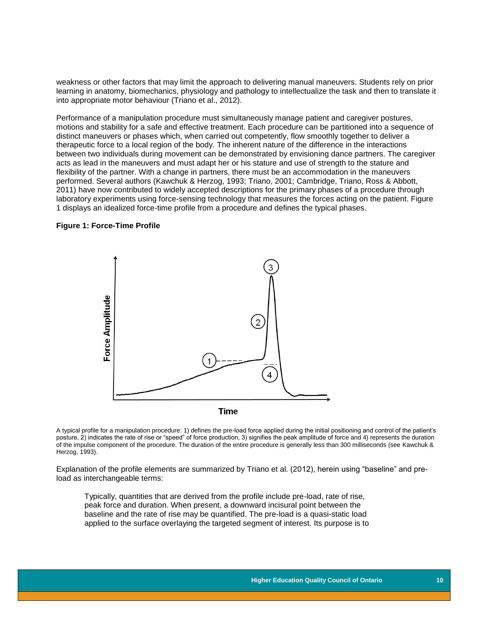weakness or other factors that may limit the approach to delivering manual maneuvers. Students rely on prior learning in anatomy, biomechanics, physiology and pathology to intellectualize the task and then to translate it into appropriate motor behaviour (Triano et al., 2012).

Performance of a manipulation procedure must simultaneously manage patient and caregiver postures, motions and stability for a safe and effective treatment. Each procedure can be partitioned into a sequence of distinct maneuvers or phases which, when carried out competently, flow smoothly together to deliver a therapeutic force to a local region of the body. The inherent nature of the difference in the interactions between two individuals during movement can be demonstrated by envisioning dance partners. The caregiver acts as lead in the maneuvers and must adapt her or his stature and use of strength to the stature and flexibility of the partner. With a change in partners, there must be an accommodation in the maneuvers performed. Several authors (Kawchuk & Herzog, 1993; Triano, 2001; Cambridge, Triano, Ross & Abbott, 2011) have now contributed to widely accepted descriptions for the primary phases of a procedure through laboratory experiments using force-sensing technology that measures the forces acting on the patient. Figure 1 displays an idealized force-time profile from a procedure and defines the typical phases.

#### <span id="page-10-0"></span>**Figure 1: Force-Time Profile**



**Time** 

A typical profile for a manipulation procedure: 1) defines the pre-load force applied during the initial positioning and control of the patient's posture, 2) indicates the rate of rise or "speed" of force production, 3) signifies the peak amplitude of force and 4) represents the duration of the impulse component of the procedure. The duration of the entire procedure is generally less than 300 milliseconds (see Kawchuk & Herzog, 1993).

Explanation of the profile elements are summarized by Triano et al. (2012), herein using "baseline" and preload as interchangeable terms:

Typically, quantities that are derived from the profile include pre-load, rate of rise, peak force and duration. When present, a downward incisural point between the baseline and the rate of rise may be quantified. The pre-load is a quasi-static load applied to the surface overlaying the targeted segment of interest. Its purpose is to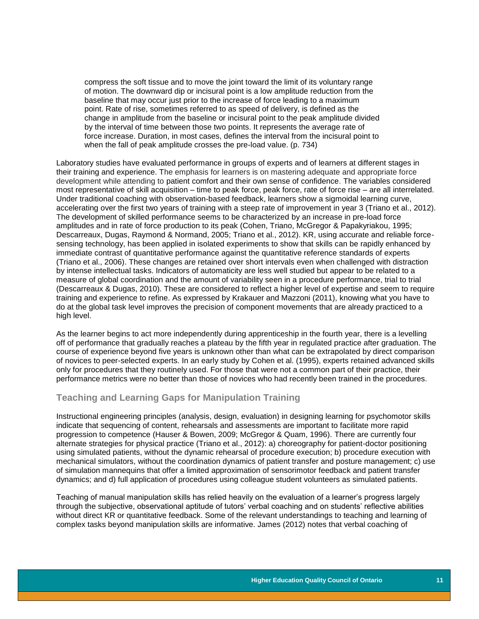compress the soft tissue and to move the joint toward the limit of its voluntary range of motion. The downward dip or incisural point is a low amplitude reduction from the baseline that may occur just prior to the increase of force leading to a maximum point. Rate of rise, sometimes referred to as speed of delivery, is defined as the change in amplitude from the baseline or incisural point to the peak amplitude divided by the interval of time between those two points. It represents the average rate of force increase. Duration, in most cases, defines the interval from the incisural point to when the fall of peak amplitude crosses the pre-load value. (p. 734)

Laboratory studies have evaluated performance in groups of experts and of learners at different stages in their training and experience. The emphasis for learners is on mastering adequate and appropriate force development while attending to patient comfort and their own sense of confidence. The variables considered most representative of skill acquisition – time to peak force, peak force, rate of force rise – are all interrelated. Under traditional coaching with observation-based feedback, learners show a sigmoidal learning curve, accelerating over the first two years of training with a steep rate of improvement in year 3 (Triano et al., 2012). The development of skilled performance seems to be characterized by an increase in pre-load force amplitudes and in rate of force production to its peak (Cohen, Triano, McGregor & Papakyriakou, 1995; Descarreaux, Dugas, Raymond & Normand, 2005; Triano et al., 2012). KR, using accurate and reliable forcesensing technology, has been applied in isolated experiments to show that skills can be rapidly enhanced by immediate contrast of quantitative performance against the quantitative reference standards of experts (Triano et al., 2006). These changes are retained over short intervals even when challenged with distraction by intense intellectual tasks. Indicators of automaticity are less well studied but appear to be related to a measure of global coordination and the amount of variability seen in a procedure performance, trial to trial (Descarreaux & Dugas, 2010). These are considered to reflect a higher level of expertise and seem to require training and experience to refine. As expressed by Krakauer and Mazzoni (2011), knowing what you have to do at the global task level improves the precision of component movements that are already practiced to a high level.

As the learner begins to act more independently during apprenticeship in the fourth year, there is a levelling off of performance that gradually reaches a plateau by the fifth year in regulated practice after graduation. The course of experience beyond five years is unknown other than what can be extrapolated by direct comparison of novices to peer-selected experts. In an early study by Cohen et al. (1995), experts retained advanced skills only for procedures that they routinely used. For those that were not a common part of their practice, their performance metrics were no better than those of novices who had recently been trained in the procedures.

### <span id="page-11-0"></span>**Teaching and Learning Gaps for Manipulation Training**

Instructional engineering principles (analysis, design, evaluation) in designing learning for psychomotor skills indicate that sequencing of content, rehearsals and assessments are important to facilitate more rapid progression to competence (Hauser & Bowen, 2009; McGregor & Quam, 1996). There are currently four alternate strategies for physical practice (Triano et al., 2012): a) choreography for patient-doctor positioning using simulated patients, without the dynamic rehearsal of procedure execution; b) procedure execution with mechanical simulators, without the coordination dynamics of patient transfer and posture management; c) use of simulation mannequins that offer a limited approximation of sensorimotor feedback and patient transfer dynamics; and d) full application of procedures using colleague student volunteers as simulated patients.

Teaching of manual manipulation skills has relied heavily on the evaluation of a learner's progress largely through the subjective, observational aptitude of tutors' verbal coaching and on students' reflective abilities without direct KR or quantitative feedback. Some of the relevant understandings to teaching and learning of complex tasks beyond manipulation skills are informative. James (2012) notes that verbal coaching of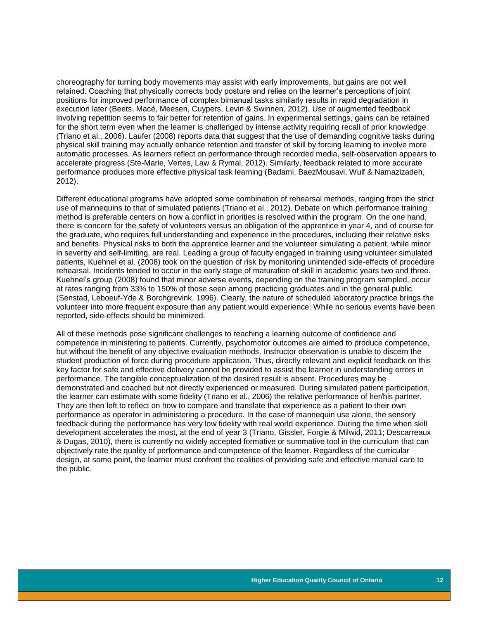choreography for turning body movements may assist with early improvements, but gains are not well retained. Coaching that physically corrects body posture and relies on the learner's perceptions of joint positions for improved performance of complex bimanual tasks similarly results in rapid degradation in execution later (Beets, Macé, Meesen, Cuypers, Levin & Swinnen, 2012). Use of augmented feedback involving repetition seems to fair better for retention of gains. In experimental settings, gains can be retained for the short term even when the learner is challenged by intense activity requiring recall of prior knowledge (Triano et al., 2006). Laufer (2008) reports data that suggest that the use of demanding cognitive tasks during physical skill training may actually enhance retention and transfer of skill by forcing learning to involve more automatic processes. As learners reflect on performance through recorded media, self-observation appears to accelerate progress (Ste-Marie, Vertes, Law & Rymal, 2012). Similarly, feedback related to more accurate performance produces more effective physical task learning (Badami, BaezMousavi, Wulf & Namazizadeh, 2012).

Different educational programs have adopted some combination of rehearsal methods, ranging from the strict use of mannequins to that of simulated patients (Triano et al., 2012). Debate on which performance training method is preferable centers on how a conflict in priorities is resolved within the program. On the one hand, there is concern for the safety of volunteers versus an obligation of the apprentice in year 4, and of course for the graduate, who requires full understanding and experience in the procedures, including their relative risks and benefits. Physical risks to both the apprentice learner and the volunteer simulating a patient, while minor in severity and self-limiting, are real. Leading a group of faculty engaged in training using volunteer simulated patients, Kuehnel et al. (2008) took on the question of risk by monitoring unintended side-effects of procedure rehearsal. Incidents tended to occur in the early stage of maturation of skill in academic years two and three. Kuehnel's group (2008) found that minor adverse events, depending on the training program sampled, occur at rates ranging from 33% to 150% of those seen among practicing graduates and in the general public (Senstad, Leboeuf-Yde & Borchgrevink, 1996). Clearly, the nature of scheduled laboratory practice brings the volunteer into more frequent exposure than any patient would experience. While no serious events have been reported, side-effects should be minimized.

<span id="page-12-0"></span>All of these methods pose significant challenges to reaching a learning outcome of confidence and competence in ministering to patients. Currently, psychomotor outcomes are aimed to produce competence, but without the benefit of any objective evaluation methods. Instructor observation is unable to discern the student production of force during procedure application. Thus, directly relevant and explicit feedback on this key factor for safe and effective delivery cannot be provided to assist the learner in understanding errors in performance. The tangible conceptualization of the desired result is absent. Procedures may be demonstrated and coached but not directly experienced or measured. During simulated patient participation, the learner can estimate with some fidelity (Triano et al., 2006) the relative performance of her/his partner. They are then left to reflect on how to compare and translate that experience as a patient to their own performance as operator in administering a procedure. In the case of mannequin use alone, the sensory feedback during the performance has very low fidelity with real world experience. During the time when skill development accelerates the most, at the end of year 3 (Triano, Gissler, Forgie & Milwid, 2011; Descarreaux & Dugas, 2010), there is currently no widely accepted formative or summative tool in the curriculum that can objectively rate the quality of performance and competence of the learner. Regardless of the curricular design, at some point, the learner must confront the realities of providing safe and effective manual care to the public.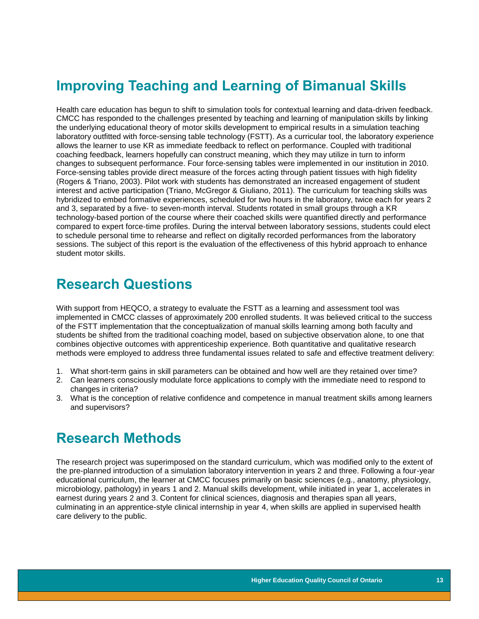# **Improving Teaching and Learning of Bimanual Skills**

Health care education has begun to shift to simulation tools for contextual learning and data-driven feedback. CMCC has responded to the challenges presented by teaching and learning of manipulation skills by linking the underlying educational theory of motor skills development to empirical results in a simulation teaching laboratory outfitted with force-sensing table technology (FSTT). As a curricular tool, the laboratory experience allows the learner to use KR as immediate feedback to reflect on performance. Coupled with traditional coaching feedback, learners hopefully can construct meaning, which they may utilize in turn to inform changes to subsequent performance. Four force-sensing tables were implemented in our institution in 2010. Force-sensing tables provide direct measure of the forces acting through patient tissues with high fidelity (Rogers & Triano, 2003). Pilot work with students has demonstrated an increased engagement of student interest and active participation (Triano, McGregor & Giuliano, 2011). The curriculum for teaching skills was hybridized to embed formative experiences, scheduled for two hours in the laboratory, twice each for years 2 and 3, separated by a five- to seven-month interval. Students rotated in small groups through a KR technology-based portion of the course where their coached skills were quantified directly and performance compared to expert force-time profiles. During the interval between laboratory sessions, students could elect to schedule personal time to rehearse and reflect on digitally recorded performances from the laboratory sessions. The subject of this report is the evaluation of the effectiveness of this hybrid approach to enhance student motor skills.

# <span id="page-13-0"></span>**Research Questions**

With support from HEQCO, a strategy to evaluate the FSTT as a learning and assessment tool was implemented in CMCC classes of approximately 200 enrolled students. It was believed critical to the success of the FSTT implementation that the conceptualization of manual skills learning among both faculty and students be shifted from the traditional coaching model, based on subjective observation alone, to one that combines objective outcomes with apprenticeship experience. Both quantitative and qualitative research methods were employed to address three fundamental issues related to safe and effective treatment delivery:

- 1. What short-term gains in skill parameters can be obtained and how well are they retained over time?
- 2. Can learners consciously modulate force applications to comply with the immediate need to respond to changes in criteria?
- 3. What is the conception of relative confidence and competence in manual treatment skills among learners and supervisors?

# <span id="page-13-1"></span>**Research Methods**

The research project was superimposed on the standard curriculum, which was modified only to the extent of the pre-planned introduction of a simulation laboratory intervention in years 2 and three. Following a four-year educational curriculum, the learner at CMCC focuses primarily on basic sciences (e.g., anatomy, physiology, microbiology, pathology) in years 1 and 2. Manual skills development, while initiated in year 1, accelerates in earnest during years 2 and 3. Content for clinical sciences, diagnosis and therapies span all years, culminating in an apprentice-style clinical internship in year 4, when skills are applied in supervised health care delivery to the public.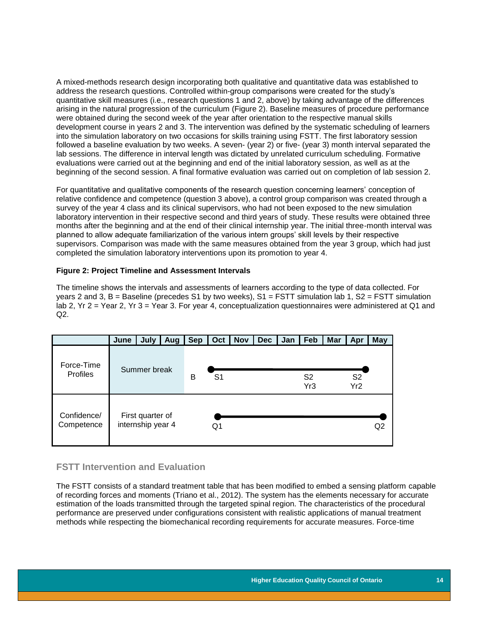A mixed-methods research design incorporating both qualitative and quantitative data was established to address the research questions. Controlled within-group comparisons were created for the study's quantitative skill measures (i.e., research questions 1 and 2, above) by taking advantage of the differences arising in the natural progression of the curriculum (Figure 2). Baseline measures of procedure performance were obtained during the second week of the year after orientation to the respective manual skills development course in years 2 and 3. The intervention was defined by the systematic scheduling of learners into the simulation laboratory on two occasions for skills training using FSTT. The first laboratory session followed a baseline evaluation by two weeks. A seven- (year 2) or five- (year 3) month interval separated the lab sessions. The difference in interval length was dictated by unrelated curriculum scheduling. Formative evaluations were carried out at the beginning and end of the initial laboratory session, as well as at the beginning of the second session. A final formative evaluation was carried out on completion of lab session 2.

For quantitative and qualitative components of the research question concerning learners' conception of relative confidence and competence (question 3 above), a control group comparison was created through a survey of the year 4 class and its clinical supervisors, who had not been exposed to the new simulation laboratory intervention in their respective second and third years of study. These results were obtained three months after the beginning and at the end of their clinical internship year. The initial three-month interval was planned to allow adequate familiarization of the various intern groups' skill levels by their respective supervisors. Comparison was made with the same measures obtained from the year 3 group, which had just completed the simulation laboratory interventions upon its promotion to year 4.

#### <span id="page-14-1"></span>**Figure 2: Project Timeline and Assessment Intervals**

The timeline shows the intervals and assessments of learners according to the type of data collected. For years 2 and 3, B = Baseline (precedes S1 by two weeks),  $S1 = FSTT$  simulation lab 1,  $S2 = FSTT$  simulation lab 2, Yr 2 = Year 2, Yr 3 = Year 3. For year 4, conceptualization questionnaires were administered at Q1 and  $Q2.$ 

<span id="page-14-0"></span>

|                               | June | July                                  | Aug | <b>Sep</b> | Oct            | <b>Nov</b> | <b>Dec</b> | Jan | Feb                   | <b>Mar</b> | Apr                   | <b>May</b>     |
|-------------------------------|------|---------------------------------------|-----|------------|----------------|------------|------------|-----|-----------------------|------------|-----------------------|----------------|
| Force-Time<br><b>Profiles</b> |      | Summer break                          |     | B          | S <sub>1</sub> |            |            |     | S <sub>2</sub><br>Yr3 |            | S <sub>2</sub><br>Yr2 |                |
| Confidence/<br>Competence     |      | First quarter of<br>internship year 4 |     |            | Q1             |            |            |     |                       |            |                       | Q <sub>2</sub> |

### **FSTT Intervention and Evaluation**

The FSTT consists of a standard treatment table that has been modified to embed a sensing platform capable of recording forces and moments (Triano et al., 2012). The system has the elements necessary for accurate estimation of the loads transmitted through the targeted spinal region. The characteristics of the procedural performance are preserved under configurations consistent with realistic applications of manual treatment methods while respecting the biomechanical recording requirements for accurate measures. Force-time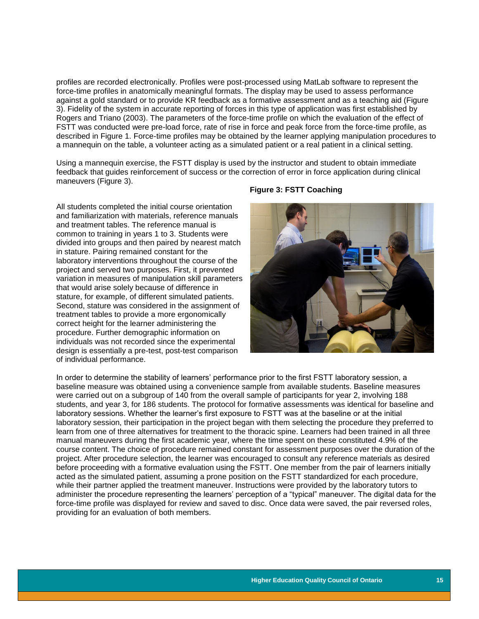profiles are recorded electronically. Profiles were post-processed using MatLab software to represent the force-time profiles in anatomically meaningful formats. The display may be used to assess performance against a gold standard or to provide KR feedback as a formative assessment and as a teaching aid (Figure 3). Fidelity of the system in accurate reporting of forces in this type of application was first established by Rogers and Triano (2003). The parameters of the force-time profile on which the evaluation of the effect of FSTT was conducted were pre-load force, rate of rise in force and peak force from the force-time profile, as described in Figure 1. Force-time profiles may be obtained by the learner applying manipulation procedures to a mannequin on the table, a volunteer acting as a simulated patient or a real patient in a clinical setting.

Using a mannequin exercise, the FSTT display is used by the instructor and student to obtain immediate feedback that guides reinforcement of success or the correction of error in force application during clinical maneuvers (Figure 3).

<span id="page-15-0"></span>All students completed the initial course orientation and familiarization with materials, reference manuals and treatment tables. The reference manual is common to training in years 1 to 3. Students were divided into groups and then paired by nearest match in stature. Pairing remained constant for the laboratory interventions throughout the course of the project and served two purposes. First, it prevented variation in measures of manipulation skill parameters that would arise solely because of difference in stature, for example, of different simulated patients. Second, stature was considered in the assignment of treatment tables to provide a more ergonomically correct height for the learner administering the procedure. Further demographic information on individuals was not recorded since the experimental design is essentially a pre-test, post-test comparison of individual performance.

#### **Figure 3: FSTT Coaching**



In order to determine the stability of learners' performance prior to the first FSTT laboratory session, a baseline measure was obtained using a convenience sample from available students. Baseline measures were carried out on a subgroup of 140 from the overall sample of participants for year 2, involving 188 students, and year 3, for 186 students. The protocol for formative assessments was identical for baseline and laboratory sessions. Whether the learner's first exposure to FSTT was at the baseline or at the initial laboratory session, their participation in the project began with them selecting the procedure they preferred to learn from one of three alternatives for treatment to the thoracic spine. Learners had been trained in all three manual maneuvers during the first academic year, where the time spent on these constituted 4.9% of the course content. The choice of procedure remained constant for assessment purposes over the duration of the project. After procedure selection, the learner was encouraged to consult any reference materials as desired before proceeding with a formative evaluation using the FSTT. One member from the pair of learners initially acted as the simulated patient, assuming a prone position on the FSTT standardized for each procedure, while their partner applied the treatment maneuver. Instructions were provided by the laboratory tutors to administer the procedure representing the learners' perception of a "typical" maneuver. The digital data for the force-time profile was displayed for review and saved to disc. Once data were saved, the pair reversed roles, providing for an evaluation of both members.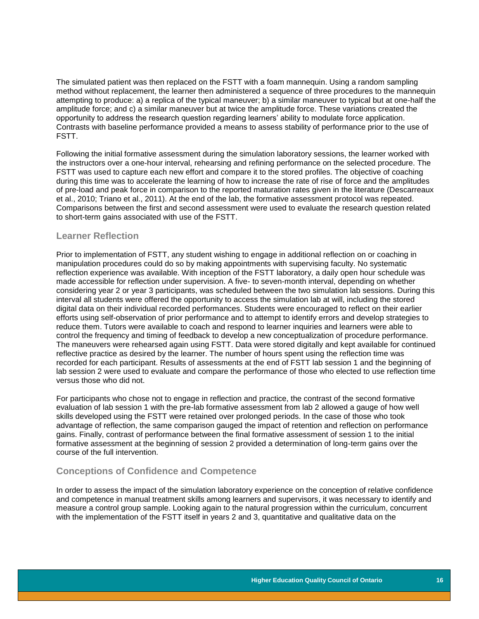The simulated patient was then replaced on the FSTT with a foam mannequin. Using a random sampling method without replacement, the learner then administered a sequence of three procedures to the mannequin attempting to produce: a) a replica of the typical maneuver; b) a similar maneuver to typical but at one-half the amplitude force; and c) a similar maneuver but at twice the amplitude force. These variations created the opportunity to address the research question regarding learners' ability to modulate force application. Contrasts with baseline performance provided a means to assess stability of performance prior to the use of FSTT.

Following the initial formative assessment during the simulation laboratory sessions, the learner worked with the instructors over a one-hour interval, rehearsing and refining performance on the selected procedure. The FSTT was used to capture each new effort and compare it to the stored profiles. The objective of coaching during this time was to accelerate the learning of how to increase the rate of rise of force and the amplitudes of pre-load and peak force in comparison to the reported maturation rates given in the literature (Descarreaux et al., 2010; Triano et al., 2011). At the end of the lab, the formative assessment protocol was repeated. Comparisons between the first and second assessment were used to evaluate the research question related to short-term gains associated with use of the FSTT.

#### <span id="page-16-0"></span>**Learner Reflection**

Prior to implementation of FSTT, any student wishing to engage in additional reflection on or coaching in manipulation procedures could do so by making appointments with supervising faculty. No systematic reflection experience was available. With inception of the FSTT laboratory, a daily open hour schedule was made accessible for reflection under supervision. A five- to seven-month interval, depending on whether considering year 2 or year 3 participants, was scheduled between the two simulation lab sessions. During this interval all students were offered the opportunity to access the simulation lab at will, including the stored digital data on their individual recorded performances. Students were encouraged to reflect on their earlier efforts using self-observation of prior performance and to attempt to identify errors and develop strategies to reduce them. Tutors were available to coach and respond to learner inquiries and learners were able to control the frequency and timing of feedback to develop a new conceptualization of procedure performance. The maneuvers were rehearsed again using FSTT. Data were stored digitally and kept available for continued reflective practice as desired by the learner. The number of hours spent using the reflection time was recorded for each participant. Results of assessments at the end of FSTT lab session 1 and the beginning of lab session 2 were used to evaluate and compare the performance of those who elected to use reflection time versus those who did not.

For participants who chose not to engage in reflection and practice, the contrast of the second formative evaluation of lab session 1 with the pre-lab formative assessment from lab 2 allowed a gauge of how well skills developed using the FSTT were retained over prolonged periods. In the case of those who took advantage of reflection, the same comparison gauged the impact of retention and reflection on performance gains. Finally, contrast of performance between the final formative assessment of session 1 to the initial formative assessment at the beginning of session 2 provided a determination of long-term gains over the course of the full intervention.

### <span id="page-16-1"></span>**Conceptions of Confidence and Competence**

In order to assess the impact of the simulation laboratory experience on the conception of relative confidence and competence in manual treatment skills among learners and supervisors, it was necessary to identify and measure a control group sample. Looking again to the natural progression within the curriculum, concurrent with the implementation of the FSTT itself in years 2 and 3, quantitative and qualitative data on the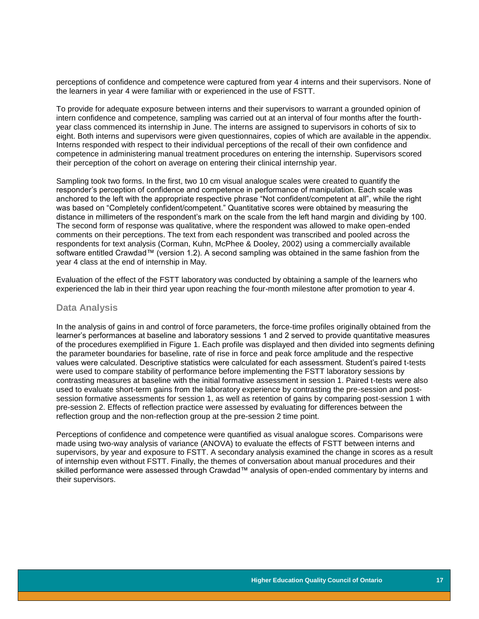perceptions of confidence and competence were captured from year 4 interns and their supervisors. None of the learners in year 4 were familiar with or experienced in the use of FSTT.

To provide for adequate exposure between interns and their supervisors to warrant a grounded opinion of intern confidence and competence, sampling was carried out at an interval of four months after the fourthyear class commenced its internship in June. The interns are assigned to supervisors in cohorts of six to eight. Both interns and supervisors were given questionnaires, copies of which are available in the appendix. Interns responded with respect to their individual perceptions of the recall of their own confidence and competence in administering manual treatment procedures on entering the internship. Supervisors scored their perception of the cohort on average on entering their clinical internship year.

Sampling took two forms. In the first, two 10 cm visual analogue scales were created to quantify the responder's perception of confidence and competence in performance of manipulation. Each scale was anchored to the left with the appropriate respective phrase "Not confident/competent at all", while the right was based on "Completely confident/competent." Quantitative scores were obtained by measuring the distance in millimeters of the respondent's mark on the scale from the left hand margin and dividing by 100. The second form of response was qualitative, where the respondent was allowed to make open-ended comments on their perceptions. The text from each respondent was transcribed and pooled across the respondents for text analysis (Corman, Kuhn, McPhee & Dooley, 2002) using a commercially available software entitled Crawdad™ (version 1.2). A second sampling was obtained in the same fashion from the year 4 class at the end of internship in May.

Evaluation of the effect of the FSTT laboratory was conducted by obtaining a sample of the learners who experienced the lab in their third year upon reaching the four-month milestone after promotion to year 4.

#### <span id="page-17-0"></span>**Data Analysis**

In the analysis of gains in and control of force parameters, the force-time profiles originally obtained from the learner's performances at baseline and laboratory sessions 1 and 2 served to provide quantitative measures of the procedures exemplified in Figure 1. Each profile was displayed and then divided into segments defining the parameter boundaries for baseline, rate of rise in force and peak force amplitude and the respective values were calculated. Descriptive statistics were calculated for each assessment. Student's paired t-tests were used to compare stability of performance before implementing the FSTT laboratory sessions by contrasting measures at baseline with the initial formative assessment in session 1. Paired t-tests were also used to evaluate short-term gains from the laboratory experience by contrasting the pre-session and postsession formative assessments for session 1, as well as retention of gains by comparing post-session 1 with pre-session 2. Effects of reflection practice were assessed by evaluating for differences between the reflection group and the non-reflection group at the pre-session 2 time point.

Perceptions of confidence and competence were quantified as visual analogue scores. Comparisons were made using two-way analysis of variance (ANOVA) to evaluate the effects of FSTT between interns and supervisors, by year and exposure to FSTT. A secondary analysis examined the change in scores as a result of internship even without FSTT. Finally, the themes of conversation about manual procedures and their skilled performance were assessed through Crawdad™ analysis of open-ended commentary by interns and their supervisors.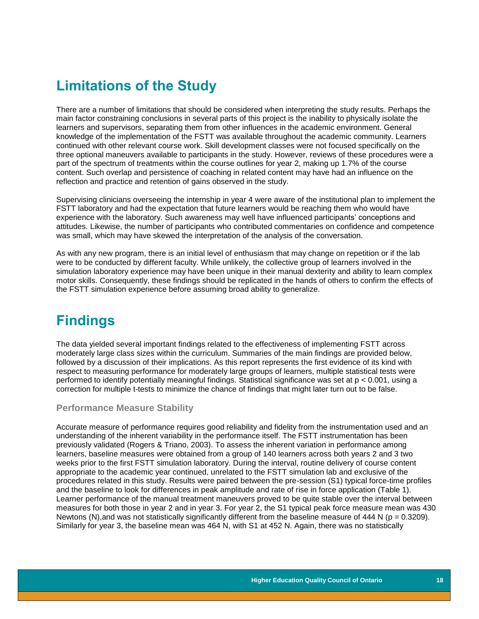# <span id="page-18-0"></span>**Limitations of the Study**

There are a number of limitations that should be considered when interpreting the study results. Perhaps the main factor constraining conclusions in several parts of this project is the inability to physically isolate the learners and supervisors, separating them from other influences in the academic environment. General knowledge of the implementation of the FSTT was available throughout the academic community. Learners continued with other relevant course work. Skill development classes were not focused specifically on the three optional maneuvers available to participants in the study. However, reviews of these procedures were a part of the spectrum of treatments within the course outlines for year 2, making up 1.7% of the course content. Such overlap and persistence of coaching in related content may have had an influence on the reflection and practice and retention of gains observed in the study.

Supervising clinicians overseeing the internship in year 4 were aware of the institutional plan to implement the FSTT laboratory and had the expectation that future learners would be reaching them who would have experience with the laboratory. Such awareness may well have influenced participants' conceptions and attitudes. Likewise, the number of participants who contributed commentaries on confidence and competence was small, which may have skewed the interpretation of the analysis of the conversation.

As with any new program, there is an initial level of enthusiasm that may change on repetition or if the lab were to be conducted by different faculty. While unlikely, the collective group of learners involved in the simulation laboratory experience may have been unique in their manual dexterity and ability to learn complex motor skills. Consequently, these findings should be replicated in the hands of others to confirm the effects of the FSTT simulation experience before assuming broad ability to generalize.

# <span id="page-18-1"></span>**Findings**

The data yielded several important findings related to the effectiveness of implementing FSTT across moderately large class sizes within the curriculum. Summaries of the main findings are provided below, followed by a discussion of their implications. As this report represents the first evidence of its kind with respect to measuring performance for moderately large groups of learners, multiple statistical tests were performed to identify potentially meaningful findings. Statistical significance was set at p < 0.001, using a correction for multiple t-tests to minimize the chance of findings that might later turn out to be false.

### <span id="page-18-2"></span>**Performance Measure Stability**

Accurate measure of performance requires good reliability and fidelity from the instrumentation used and an understanding of the inherent variability in the performance itself. The FSTT instrumentation has been previously validated (Rogers & Triano, 2003). To assess the inherent variation in performance among learners, baseline measures were obtained from a group of 140 learners across both years 2 and 3 two weeks prior to the first FSTT simulation laboratory. During the interval, routine delivery of course content appropriate to the academic year continued, unrelated to the FSTT simulation lab and exclusive of the procedures related in this study. Results were paired between the pre-session (S1) typical force-time profiles and the baseline to look for differences in peak amplitude and rate of rise in force application (Table 1). Learner performance of the manual treatment maneuvers proved to be quite stable over the interval between measures for both those in year 2 and in year 3. For year 2, the S1 typical peak force measure mean was 430 Newtons (N), and was not statistically significantly different from the baseline measure of 444 N ( $p = 0.3209$ ). Similarly for year 3, the baseline mean was 464 N, with S1 at 452 N. Again, there was no statistically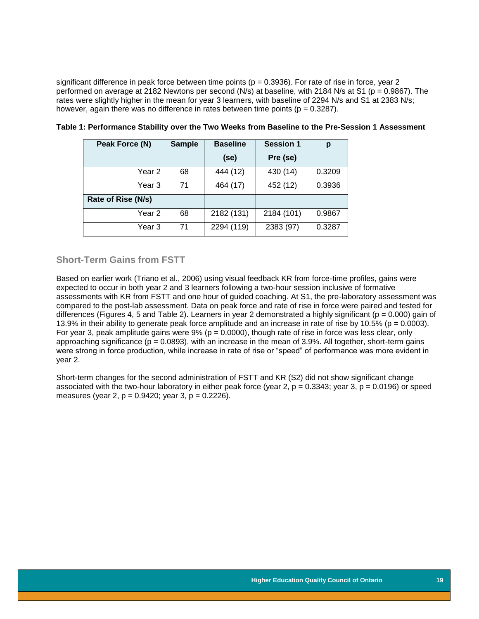significant difference in peak force between time points ( $p = 0.3936$ ). For rate of rise in force, year 2 performed on average at 2182 Newtons per second (N/s) at baseline, with 2184 N/s at S1 (p = 0.9867). The rates were slightly higher in the mean for year 3 learners, with baseline of 2294 N/s and S1 at 2383 N/s; however, again there was no difference in rates between time points ( $p = 0.3287$ ).

| Peak Force (N)     | <b>Sample</b> | <b>Baseline</b> | <b>Session 1</b> | р      |
|--------------------|---------------|-----------------|------------------|--------|
|                    |               | (se)            | Pre (se)         |        |
| Year 2             | 68            | 444 (12)        | 430 (14)         | 0.3209 |
| Year 3             | 71            | 464 (17)        | 452 (12)         | 0.3936 |
| Rate of Rise (N/s) |               |                 |                  |        |
| Year <sub>2</sub>  | 68            | 2182 (131)      | 2184 (101)       | 0.9867 |
| Year 3             | 71            | 2294 (119)      | 2383 (97)        | 0.3287 |

#### <span id="page-19-1"></span>**Table 1: Performance Stability over the Two Weeks from Baseline to the Pre-Session 1 Assessment**

### <span id="page-19-0"></span>**Short-Term Gains from FSTT**

Based on earlier work (Triano et al., 2006) using visual feedback KR from force-time profiles, gains were expected to occur in both year 2 and 3 learners following a two-hour session inclusive of formative assessments with KR from FSTT and one hour of guided coaching. At S1, the pre-laboratory assessment was compared to the post-lab assessment. Data on peak force and rate of rise in force were paired and tested for differences (Figures 4, 5 and Table 2). Learners in year 2 demonstrated a highly significant ( $p = 0.000$ ) gain of 13.9% in their ability to generate peak force amplitude and an increase in rate of rise by 10.5% (p = 0.0003). For year 3, peak amplitude gains were  $9\%$  (p = 0.0000), though rate of rise in force was less clear, only approaching significance ( $p = 0.0893$ ), with an increase in the mean of 3.9%. All together, short-term gains were strong in force production, while increase in rate of rise or "speed" of performance was more evident in year 2.

Short-term changes for the second administration of FSTT and KR (S2) did not show significant change associated with the two-hour laboratory in either peak force (year 2,  $p = 0.3343$ ; year 3,  $p = 0.0196$ ) or speed measures (year 2,  $p = 0.9420$ ; year 3,  $p = 0.2226$ ).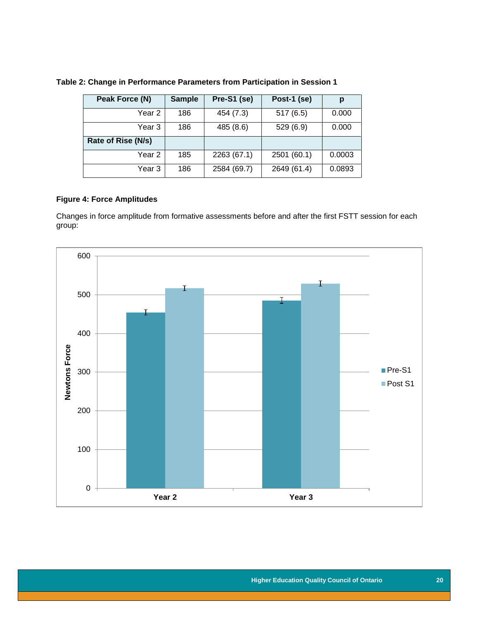| Peak Force (N)     | <b>Sample</b> | Pre-S1 (se) | Post-1 (se) | р      |
|--------------------|---------------|-------------|-------------|--------|
| Year 2             | 186           | 454 (7.3)   | 517(6.5)    | 0.000  |
| Year 3             | 186           | 485 (8.6)   | 529 (6.9)   | 0.000  |
| Rate of Rise (N/s) |               |             |             |        |
| Year 2             | 185           | 2263 (67.1) | 2501 (60.1) | 0.0003 |
| Year 3             | 186           | 2584 (69.7) | 2649 (61.4) | 0.0893 |

### <span id="page-20-2"></span>**Table 2: Change in Performance Parameters from Participation in Session 1**

### <span id="page-20-0"></span>**Figure 4: Force Amplitudes**

Changes in force amplitude from formative assessments before and after the first FSTT session for each group:

<span id="page-20-1"></span>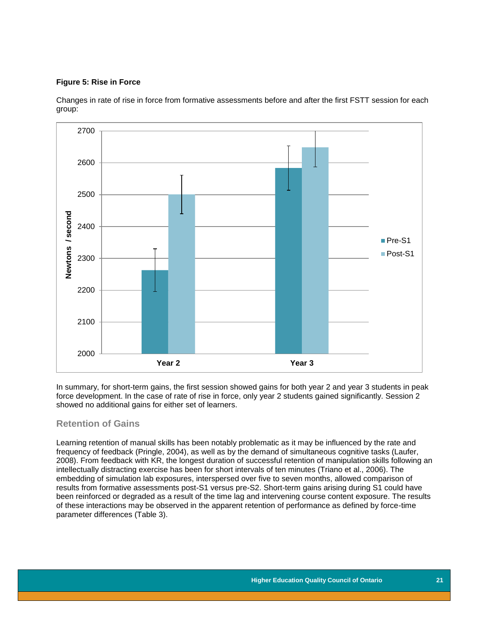#### **Figure 5: Rise in Force**

Changes in rate of rise in force from formative assessments before and after the first FSTT session for each group:



In summary, for short-term gains, the first session showed gains for both year 2 and year 3 students in peak force development. In the case of rate of rise in force, only year 2 students gained significantly. Session 2 showed no additional gains for either set of learners.

### <span id="page-21-0"></span>**Retention of Gains**

Learning retention of manual skills has been notably problematic as it may be influenced by the rate and frequency of feedback (Pringle, 2004), as well as by the demand of simultaneous cognitive tasks (Laufer, 2008). From feedback with KR, the longest duration of successful retention of manipulation skills following an intellectually distracting exercise has been for short intervals of ten minutes (Triano et al., 2006). The embedding of simulation lab exposures, interspersed over five to seven months, allowed comparison of results from formative assessments post-S1 versus pre-S2. Short-term gains arising during S1 could have been reinforced or degraded as a result of the time lag and intervening course content exposure. The results of these interactions may be observed in the apparent retention of performance as defined by force-time parameter differences (Table 3).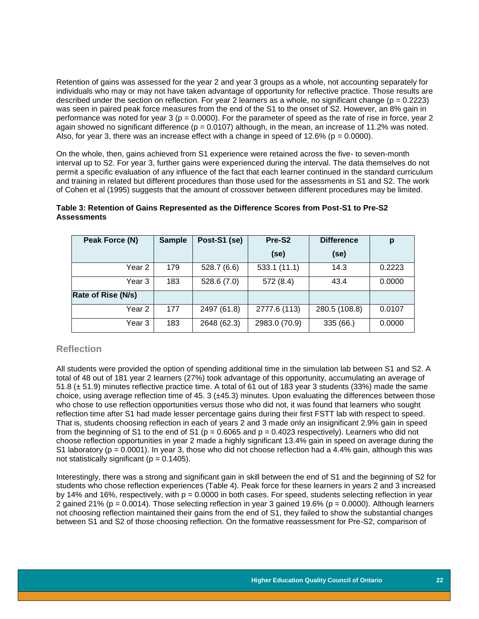Retention of gains was assessed for the year 2 and year 3 groups as a whole, not accounting separately for individuals who may or may not have taken advantage of opportunity for reflective practice. Those results are described under the section on reflection. For year 2 learners as a whole, no significant change ( $p = 0.2223$ ) was seen in paired peak force measures from the end of the S1 to the onset of S2. However, an 8% gain in performance was noted for year  $3$  ( $p = 0.0000$ ). For the parameter of speed as the rate of rise in force, year 2 again showed no significant difference ( $p = 0.0107$ ) although, in the mean, an increase of 11.2% was noted. Also, for year 3, there was an increase effect with a change in speed of  $12.6\%$  (p = 0.0000).

On the whole, then, gains achieved from S1 experience were retained across the five- to seven-month interval up to S2. For year 3, further gains were experienced during the interval. The data themselves do not permit a specific evaluation of any influence of the fact that each learner continued in the standard curriculum and training in related but different procedures than those used for the assessments in S1 and S2. The work of Cohen et al (1995) suggests that the amount of crossover between different procedures may be limited.

| Peak Force (N)     | <b>Sample</b> | Post-S1 (se) | Pre-S2        | <b>Difference</b> | p      |
|--------------------|---------------|--------------|---------------|-------------------|--------|
|                    |               |              | (se)          | (se)              |        |
| Year 2             | 179           | 528.7(6.6)   | 533.1 (11.1)  | 14.3              | 0.2223 |
| Year 3             | 183           | 528.6(7.0)   | 572 (8.4)     | 43.4              | 0.0000 |
| Rate of Rise (N/s) |               |              |               |                   |        |
| Year 2             | 177           | 2497 (61.8)  | 2777.6 (113)  | 280.5 (108.8)     | 0.0107 |
| Year <sub>3</sub>  | 183           | 2648 (62.3)  | 2983.0 (70.9) | 335(66.)          | 0.0000 |

### <span id="page-22-1"></span>**Table 3: Retention of Gains Represented as the Difference Scores from Post-S1 to Pre-S2 Assessments**

### <span id="page-22-0"></span>**Reflection**

All students were provided the option of spending additional time in the simulation lab between S1 and S2. A total of 48 out of 181 year 2 learners (27%) took advantage of this opportunity, accumulating an average of 51.8 (± 51.9) minutes reflective practice time. A total of 61 out of 183 year 3 students (33%) made the same choice, using average reflection time of 45. 3 ( $\pm$ 45.3) minutes. Upon evaluating the differences between those who chose to use reflection opportunities versus those who did not, it was found that learners who sought reflection time after S1 had made lesser percentage gains during their first FSTT lab with respect to speed. That is, students choosing reflection in each of years 2 and 3 made only an insignificant 2.9% gain in speed from the beginning of S1 to the end of S1 ( $p = 0.6065$  and  $p = 0.4023$  respectively). Learners who did not choose reflection opportunities in year 2 made a highly significant 13.4% gain in speed on average during the S1 laboratory ( $p = 0.0001$ ). In year 3, those who did not choose reflection had a 4.4% gain, although this was not statistically significant ( $p = 0.1405$ ).

Interestingly, there was a strong and significant gain in skill between the end of S1 and the beginning of S2 for students who chose reflection experiences (Table 4). Peak force for these learners in years 2 and 3 increased by 14% and 16%, respectively, with p = 0.0000 in both cases. For speed, students selecting reflection in year 2 gained 21% (p = 0.0014). Those selecting reflection in year 3 gained 19.6% (p = 0.0000). Although learners not choosing reflection maintained their gains from the end of S1, they failed to show the substantial changes between S1 and S2 of those choosing reflection. On the formative reassessment for Pre-S2, comparison of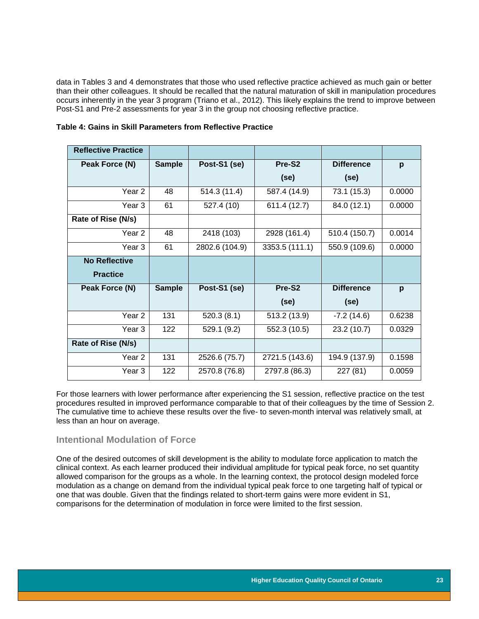data in Tables 3 and 4 demonstrates that those who used reflective practice achieved as much gain or better than their other colleagues. It should be recalled that the natural maturation of skill in manipulation procedures occurs inherently in the year 3 program (Triano et al., 2012). This likely explains the trend to improve between Post-S1 and Pre-2 assessments for year 3 in the group not choosing reflective practice.

| <b>Reflective Practice</b> |               |                |                    |                   |        |
|----------------------------|---------------|----------------|--------------------|-------------------|--------|
| Peak Force (N)             | <b>Sample</b> | Post-S1 (se)   | Pre-S <sub>2</sub> | <b>Difference</b> | p      |
|                            |               |                | (se)               | (se)              |        |
| Year 2                     | 48            | 514.3 (11.4)   | 587.4 (14.9)       | 73.1 (15.3)       | 0.0000 |
| Year <sub>3</sub>          | 61            | 527.4 (10)     | 611.4 (12.7)       | 84.0 (12.1)       | 0.0000 |
| Rate of Rise (N/s)         |               |                |                    |                   |        |
| Year 2                     | 48            | 2418 (103)     | 2928 (161.4)       | 510.4 (150.7)     | 0.0014 |
| Year <sub>3</sub>          | 61            | 2802.6 (104.9) | 3353.5 (111.1)     | 550.9 (109.6)     | 0.0000 |
| <b>No Reflective</b>       |               |                |                    |                   |        |
| <b>Practice</b>            |               |                |                    |                   |        |
| Peak Force (N)             | <b>Sample</b> | Post-S1 (se)   | Pre-S <sub>2</sub> | <b>Difference</b> | p      |
|                            |               |                | (se)               | (se)              |        |
| Year 2                     | 131           | 520.3(8.1)     | 513.2 (13.9)       | $-7.2(14.6)$      | 0.6238 |
| Year 3                     | 122           | 529.1 (9.2)    | 552.3 (10.5)       | 23.2(10.7)        | 0.0329 |
| Rate of Rise (N/s)         |               |                |                    |                   |        |
| Year 2                     | 131           | 2526.6 (75.7)  | 2721.5 (143.6)     | 194.9 (137.9)     | 0.1598 |
| Year 3                     | 122           | 2570.8 (76.8)  | 2797.8 (86.3)      | 227 (81)          | 0.0059 |

#### <span id="page-23-1"></span>**Table 4: Gains in Skill Parameters from Reflective Practice**

For those learners with lower performance after experiencing the S1 session, reflective practice on the test procedures resulted in improved performance comparable to that of their colleagues by the time of Session 2. The cumulative time to achieve these results over the five- to seven-month interval was relatively small, at less than an hour on average.

### <span id="page-23-0"></span>**Intentional Modulation of Force**

One of the desired outcomes of skill development is the ability to modulate force application to match the clinical context. As each learner produced their individual amplitude for typical peak force, no set quantity allowed comparison for the groups as a whole. In the learning context, the protocol design modeled force modulation as a change on demand from the individual typical peak force to one targeting half of typical or one that was double. Given that the findings related to short-term gains were more evident in S1, comparisons for the determination of modulation in force were limited to the first session.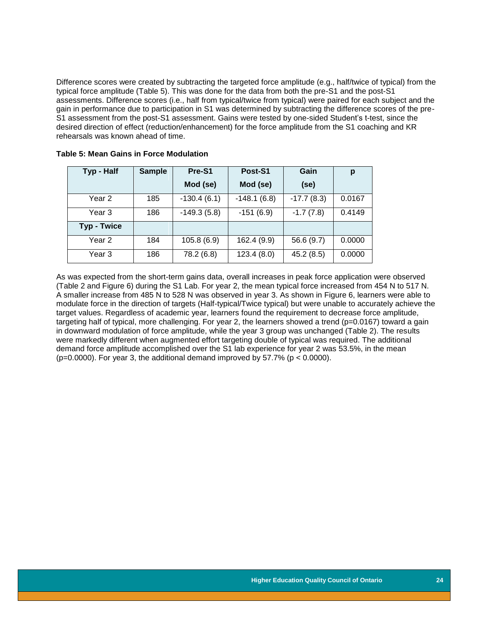Difference scores were created by subtracting the targeted force amplitude (e.g., half/twice of typical) from the typical force amplitude (Table 5). This was done for the data from both the pre-S1 and the post-S1 assessments. Difference scores (i.e., half from typical/twice from typical) were paired for each subject and the gain in performance due to participation in S1 was determined by subtracting the difference scores of the pre-S1 assessment from the post-S1 assessment. Gains were tested by one-sided Student's t-test, since the desired direction of effect (reduction/enhancement) for the force amplitude from the S1 coaching and KR rehearsals was known ahead of time.

| Typ - Half         | <b>Sample</b> | Pre-S1        | Post-S1       | Gain         | p      |
|--------------------|---------------|---------------|---------------|--------------|--------|
|                    |               | Mod (se)      | Mod (se)      | (se)         |        |
| Year 2             | 185           | $-130.4(6.1)$ | $-148.1(6.8)$ | $-17.7(8.3)$ | 0.0167 |
| Year 3             | 186           | $-149.3(5.8)$ | $-151(6.9)$   | $-1.7(7.8)$  | 0.4149 |
| <b>Typ - Twice</b> |               |               |               |              |        |
| Year 2             | 184           | 105.8(6.9)    | 162.4 (9.9)   | 56.6 (9.7)   | 0.0000 |
| Year 3             | 186           | 78.2 (6.8)    | 123.4(8.0)    | 45.2(8.5)    | 0.0000 |

<span id="page-24-0"></span>

| <b>Table 5: Mean Gains in Force Modulation</b> |  |  |  |
|------------------------------------------------|--|--|--|
|------------------------------------------------|--|--|--|

As was expected from the short-term gains data, overall increases in peak force application were observed (Table 2 and Figure 6) during the S1 Lab. For year 2, the mean typical force increased from 454 N to 517 N. A smaller increase from 485 N to 528 N was observed in year 3. As shown in Figure 6, learners were able to modulate force in the direction of targets (Half-typical/Twice typical) but were unable to accurately achieve the target values. Regardless of academic year, learners found the requirement to decrease force amplitude, targeting half of typical, more challenging. For year 2, the learners showed a trend (p=0.0167) toward a gain in downward modulation of force amplitude, while the year 3 group was unchanged (Table 2). The results were markedly different when augmented effort targeting double of typical was required. The additional demand force amplitude accomplished over the S1 lab experience for year 2 was 53.5%, in the mean ( $p=0.0000$ ). For year 3, the additional demand improved by 57.7% ( $p < 0.0000$ ).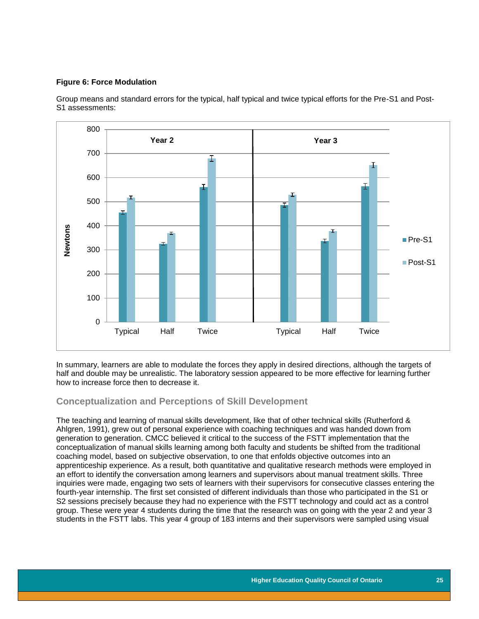### <span id="page-25-1"></span>**Figure 6: Force Modulation**

Group means and standard errors for the typical, half typical and twice typical efforts for the Pre-S1 and Post-S1 assessments:



In summary, learners are able to modulate the forces they apply in desired directions, although the targets of half and double may be unrealistic. The laboratory session appeared to be more effective for learning further how to increase force then to decrease it.

### <span id="page-25-0"></span>**Conceptualization and Perceptions of Skill Development**

The teaching and learning of manual skills development, like that of other technical skills (Rutherford & Ahlgren, 1991), grew out of personal experience with coaching techniques and was handed down from generation to generation. CMCC believed it critical to the success of the FSTT implementation that the conceptualization of manual skills learning among both faculty and students be shifted from the traditional coaching model, based on subjective observation, to one that enfolds objective outcomes into an apprenticeship experience. As a result, both quantitative and qualitative research methods were employed in an effort to identify the conversation among learners and supervisors about manual treatment skills. Three inquiries were made, engaging two sets of learners with their supervisors for consecutive classes entering the fourth-year internship. The first set consisted of different individuals than those who participated in the S1 or S2 sessions precisely because they had no experience with the FSTT technology and could act as a control group. These were year 4 students during the time that the research was on going with the year 2 and year 3 students in the FSTT labs. This year 4 group of 183 interns and their supervisors were sampled using visual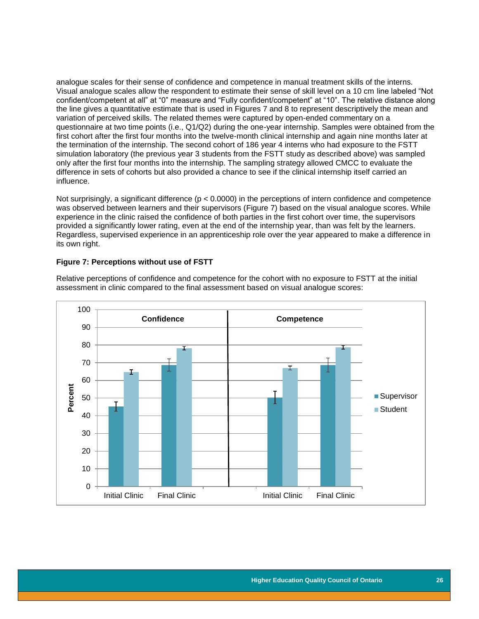analogue scales for their sense of confidence and competence in manual treatment skills of the interns. Visual analogue scales allow the respondent to estimate their sense of skill level on a 10 cm line labeled "Not confident/competent at all" at "0" measure and "Fully confident/competent" at "10". The relative distance along the line gives a quantitative estimate that is used in Figures 7 and 8 to represent descriptively the mean and variation of perceived skills. The related themes were captured by open-ended commentary on a questionnaire at two time points (i.e., Q1/Q2) during the one-year internship. Samples were obtained from the first cohort after the first four months into the twelve-month clinical internship and again nine months later at the termination of the internship. The second cohort of 186 year 4 interns who had exposure to the FSTT simulation laboratory (the previous year 3 students from the FSTT study as described above) was sampled only after the first four months into the internship. The sampling strategy allowed CMCC to evaluate the difference in sets of cohorts but also provided a chance to see if the clinical internship itself carried an influence.

Not surprisingly, a significant difference ( $p < 0.0000$ ) in the perceptions of intern confidence and competence was observed between learners and their supervisors (Figure 7) based on the visual analogue scores. While experience in the clinic raised the confidence of both parties in the first cohort over time, the supervisors provided a significantly lower rating, even at the end of the internship year, than was felt by the learners. Regardless, supervised experience in an apprenticeship role over the year appeared to make a difference in its own right.

#### <span id="page-26-0"></span>**Figure 7: Perceptions without use of FSTT**

Relative perceptions of confidence and competence for the cohort with no exposure to FSTT at the initial assessment in clinic compared to the final assessment based on visual analogue scores:

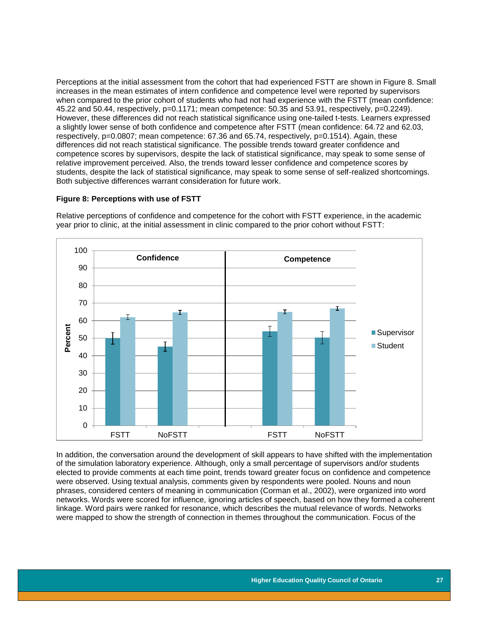Perceptions at the initial assessment from the cohort that had experienced FSTT are shown in Figure 8. Small increases in the mean estimates of intern confidence and competence level were reported by supervisors when compared to the prior cohort of students who had not had experience with the FSTT (mean confidence: 45.22 and 50.44, respectively, p=0.1171; mean competence: 50.35 and 53.91, respectively, p=0.2249). However, these differences did not reach statistical significance using one-tailed t-tests. Learners expressed a slightly lower sense of both confidence and competence after FSTT (mean confidence: 64.72 and 62.03, respectively, p=0.0807; mean competence: 67.36 and 65.74, respectively, p=0.1514). Again, these differences did not reach statistical significance. The possible trends toward greater confidence and competence scores by supervisors, despite the lack of statistical significance, may speak to some sense of relative improvement perceived. Also, the trends toward lesser confidence and competence scores by students, despite the lack of statistical significance, may speak to some sense of self-realized shortcomings. Both subjective differences warrant consideration for future work.

#### <span id="page-27-0"></span>**Figure 8: Perceptions with use of FSTT**



Relative perceptions of confidence and competence for the cohort with FSTT experience, in the academic year prior to clinic, at the initial assessment in clinic compared to the prior cohort without FSTT:

In addition, the conversation around the development of skill appears to have shifted with the implementation of the simulation laboratory experience. Although, only a small percentage of supervisors and/or students elected to provide comments at each time point, trends toward greater focus on confidence and competence were observed. Using textual analysis, comments given by respondents were pooled. Nouns and noun phrases, considered centers of meaning in communication (Corman et al., 2002), were organized into word networks. Words were scored for influence, ignoring articles of speech, based on how they formed a coherent linkage. Word pairs were ranked for resonance, which describes the mutual relevance of words. Networks were mapped to show the strength of connection in themes throughout the communication. Focus of the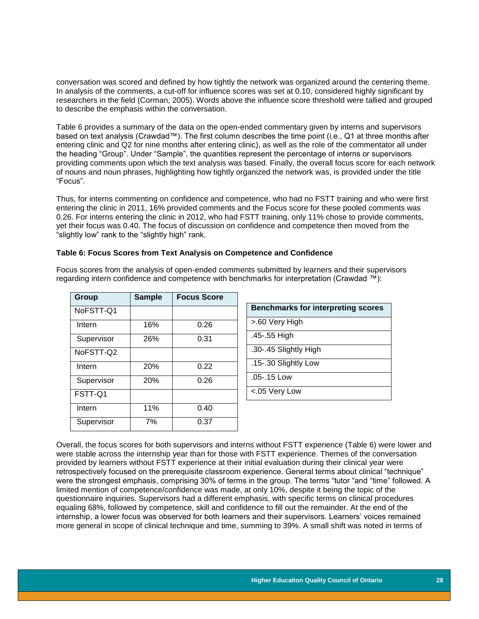conversation was scored and defined by how tightly the network was organized around the centering theme. In analysis of the comments, a cut-off for influence scores was set at 0.10, considered highly significant by researchers in the field (Corman, 2005). Words above the influence score threshold were tallied and grouped to describe the emphasis within the conversation.

Table 6 provides a summary of the data on the open-ended commentary given by interns and supervisors based on text analysis (Crawdad™). The first column describes the time point (i.e., Q1 at three months after entering clinic and Q2 for nine months after entering clinic), as well as the role of the commentator all under the heading "Group". Under "Sample", the quantities represent the percentage of interns or supervisors providing comments upon which the text analysis was based. Finally, the overall focus score for each network of nouns and noun phrases, highlighting how tightly organized the network was, is provided under the title "Focus".

Thus, for interns commenting on confidence and competence, who had no FSTT training and who were first entering the clinic in 2011, 16% provided comments and the Focus score for these pooled comments was 0.26. For interns entering the clinic in 2012, who had FSTT training, only 11% chose to provide comments, yet their focus was 0.40. The focus of discussion on confidence and competence then moved from the "slightly low" rank to the "slightly high" rank.

### <span id="page-28-0"></span>**Table 6: Focus Scores from Text Analysis on Competence and Confidence**

| Group      | <b>Sample</b> | <b>Focus Score</b> |
|------------|---------------|--------------------|
| NoFSTT-Q1  |               |                    |
| Intern     | 16%           | 0.26               |
| Supervisor | 26%           | 0.31               |
| NoFSTT-Q2  |               |                    |
| Intern     | 20%           | 0.22               |
| Supervisor | 20%           | 0.26               |
| FSTT-Q1    |               |                    |
| Intern     | 11%           | 0.40               |
| Supervisor | 7%            | 0.37               |

Focus scores from the analysis of open-ended comments submitted by learners and their supervisors regarding intern confidence and competence with benchmarks for interpretation (Crawdad ™):

| <b>Benchmarks for interpreting scores</b> |
|-------------------------------------------|
| >.60 Very High                            |
| .45-.55 High                              |
| .30-.45 Slightly High                     |
| .15-.30 Slightly Low                      |
| $.05 - 15$ Low                            |
| <.05 Very Low                             |

Overall, the focus scores for both supervisors and interns without FSTT experience (Table 6) were lower and were stable across the internship year than for those with FSTT experience. Themes of the conversation provided by learners without FSTT experience at their initial evaluation during their clinical year were retrospectively focused on the prerequisite classroom experience. General terms about clinical "technique" were the strongest emphasis, comprising 30% of terms in the group. The terms "tutor "and "time" followed. A limited mention of competence/confidence was made, at only 10%, despite it being the topic of the questionnaire inquiries. Supervisors had a different emphasis, with specific terms on clinical procedures equaling 68%, followed by competence, skill and confidence to fill out the remainder. At the end of the internship, a lower focus was observed for both learners and their supervisors. Learners' voices remained more general in scope of clinical technique and time, summing to 39%. A small shift was noted in terms of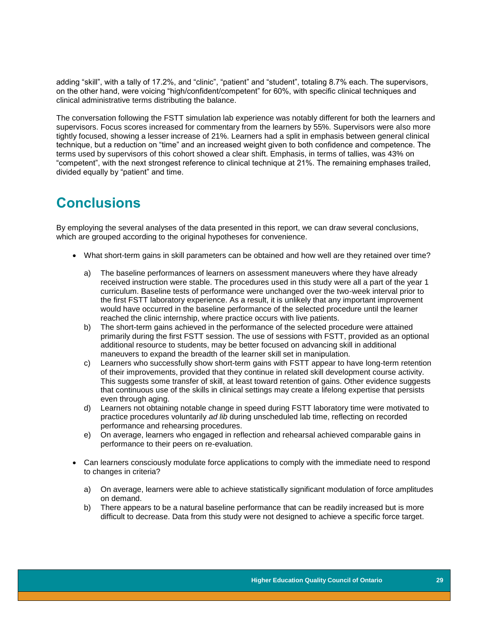adding "skill", with a tally of 17.2%, and "clinic", "patient" and "student", totaling 8.7% each. The supervisors, on the other hand, were voicing "high/confident/competent" for 60%, with specific clinical techniques and clinical administrative terms distributing the balance.

The conversation following the FSTT simulation lab experience was notably different for both the learners and supervisors. Focus scores increased for commentary from the learners by 55%. Supervisors were also more tightly focused, showing a lesser increase of 21%. Learners had a split in emphasis between general clinical technique, but a reduction on "time" and an increased weight given to both confidence and competence. The terms used by supervisors of this cohort showed a clear shift. Emphasis, in terms of tallies, was 43% on "competent", with the next strongest reference to clinical technique at 21%. The remaining emphases trailed, divided equally by "patient" and time.

# <span id="page-29-0"></span>**Conclusions**

By employing the several analyses of the data presented in this report, we can draw several conclusions, which are grouped according to the original hypotheses for convenience.

- What short-term gains in skill parameters can be obtained and how well are they retained over time?
	- a) The baseline performances of learners on assessment maneuvers where they have already received instruction were stable. The procedures used in this study were all a part of the year 1 curriculum. Baseline tests of performance were unchanged over the two-week interval prior to the first FSTT laboratory experience. As a result, it is unlikely that any important improvement would have occurred in the baseline performance of the selected procedure until the learner reached the clinic internship, where practice occurs with live patients.
	- b) The short-term gains achieved in the performance of the selected procedure were attained primarily during the first FSTT session. The use of sessions with FSTT, provided as an optional additional resource to students, may be better focused on advancing skill in additional maneuvers to expand the breadth of the learner skill set in manipulation.
	- c) Learners who successfully show short-term gains with FSTT appear to have long-term retention of their improvements, provided that they continue in related skill development course activity. This suggests some transfer of skill, at least toward retention of gains. Other evidence suggests that continuous use of the skills in clinical settings may create a lifelong expertise that persists even through aging.
	- d) Learners not obtaining notable change in speed during FSTT laboratory time were motivated to practice procedures voluntarily *ad lib* during unscheduled lab time, reflecting on recorded performance and rehearsing procedures.
	- e) On average, learners who engaged in reflection and rehearsal achieved comparable gains in performance to their peers on re-evaluation.
- Can learners consciously modulate force applications to comply with the immediate need to respond to changes in criteria?
	- a) On average, learners were able to achieve statistically significant modulation of force amplitudes on demand.
	- b) There appears to be a natural baseline performance that can be readily increased but is more difficult to decrease. Data from this study were not designed to achieve a specific force target.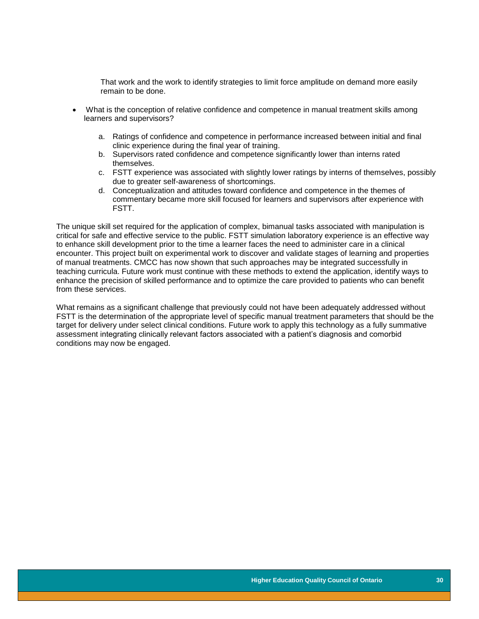That work and the work to identify strategies to limit force amplitude on demand more easily remain to be done.

- What is the conception of relative confidence and competence in manual treatment skills among learners and supervisors?
	- a. Ratings of confidence and competence in performance increased between initial and final clinic experience during the final year of training.
	- b. Supervisors rated confidence and competence significantly lower than interns rated themselves.
	- c. FSTT experience was associated with slightly lower ratings by interns of themselves, possibly due to greater self-awareness of shortcomings.
	- d. Conceptualization and attitudes toward confidence and competence in the themes of commentary became more skill focused for learners and supervisors after experience with FSTT.

The unique skill set required for the application of complex, bimanual tasks associated with manipulation is critical for safe and effective service to the public. FSTT simulation laboratory experience is an effective way to enhance skill development prior to the time a learner faces the need to administer care in a clinical encounter. This project built on experimental work to discover and validate stages of learning and properties of manual treatments. CMCC has now shown that such approaches may be integrated successfully in teaching curricula. Future work must continue with these methods to extend the application, identify ways to enhance the precision of skilled performance and to optimize the care provided to patients who can benefit from these services.

What remains as a significant challenge that previously could not have been adequately addressed without FSTT is the determination of the appropriate level of specific manual treatment parameters that should be the target for delivery under select clinical conditions. Future work to apply this technology as a fully summative assessment integrating clinically relevant factors associated with a patient's diagnosis and comorbid conditions may now be engaged.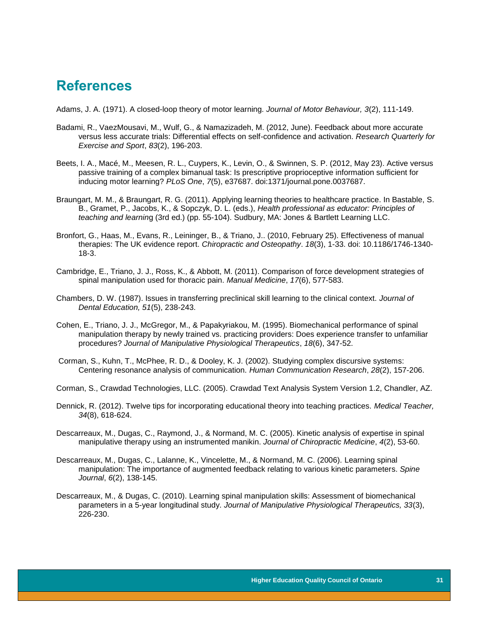## <span id="page-31-0"></span>**References**

Adams, J. A. (1971). A closed-loop theory of motor learning. *Journal of Motor Behaviour, 3*(2), 111-149.

- Badami, R., VaezMousavi, M., Wulf, G., & Namazizadeh, M. (2012, June). Feedback about more accurate versus less accurate trials: Differential effects on self-confidence and activation. *Research Quarterly for Exercise and Sport*, *83*(2), 196-203.
- Beets, I. A., Macé, M., Meesen, R. L., Cuypers, K., Levin, O., & Swinnen, S. P. (2012, May 23). Active versus passive training of a complex bimanual task: Is prescriptive proprioceptive information sufficient for inducing motor learning? *PLoS One*, *7*(5), e37687. doi:1371/journal.pone.0037687.
- Braungart, M. M., & Braungart, R. G. (2011). Applying learning theories to healthcare practice. In Bastable, S. B., Gramet, P., Jacobs, K., & Sopczyk, D. L. (eds.), *Health professional as educator: Principles of teaching and learnin*g (3rd ed.) (pp. 55-104). Sudbury, MA: Jones & Bartlett Learning LLC.
- [Bronfort, G., Haas, M., Evans, R., Leininger, B.,](http://www.ncbi.nlm.nih.gov/pubmed?term=Bronfort%20G%5BAuthor%5D&cauthor=true&cauthor_uid=20184717) & [Triano, J..](http://www.ncbi.nlm.nih.gov/pubmed?term=Triano%20J%5BAuthor%5D&cauthor=true&cauthor_uid=20184717) (2010, February 25). Effectiveness of manual therapies: The UK evidence report. *[Chiropractic and Osteopathy](http://www.ncbi.nlm.nih.gov/pubmed/20184717)*. *18*(3), 1-33. doi: 10.1186/1746-1340- 18-3.
- Cambridge, E., Triano, J. J., Ross, K., & Abbott, M. (2011). Comparison of force development strategies of spinal manipulation used for thoracic pain. *Manual Medicine*, *17*(6), 577-583.
- Chambers, D. W. (1987). Issues in transferring preclinical skill learning to the clinical context. *Journal of Dental Education, 51*(5), 238-243.
- Cohen, E., Triano, J. J., McGregor, M., & Papakyriakou, M. (1995). Biomechanical performance of spinal manipulation therapy by newly trained vs. practicing providers: Does experience transfer to unfamiliar procedures? *Journal of Manipulative Physiological Therapeutics*, *18*(6), 347-52.
- Corman, S., Kuhn, T., McPhee, R. D., & Dooley, K. J. (2002). Studying complex discursive systems: Centering resonance analysis of communication. *Human Communication Research*, *28*(2), 157-206.
- Corman, S., Crawdad Technologies, LLC. (2005). Crawdad Text Analysis System Version 1.2, Chandler, AZ.
- Dennick, R. (2012). Twelve tips for incorporating educational theory into teaching practices. *Medical Teacher, 34*(8), 618-624.
- Descarreaux, M., Dugas, C., Raymond, J., & Normand, M. C. (2005). Kinetic analysis of expertise in spinal manipulative therapy using an instrumented manikin. *Journal of Chiropractic Medicine*, *4*(2), 53-60.
- Descarreaux, M., Dugas, C., Lalanne, K., Vincelette, M., & Normand, M. C. (2006). Learning spinal manipulation: The importance of augmented feedback relating to various kinetic parameters. *Spine Journal*, *6*(2), 138-145.
- Descarreaux, M., & Dugas, C. (2010). Learning spinal manipulation skills: Assessment of biomechanical parameters in a 5-year longitudinal study. *Journal of Manipulative Physiological Therapeutics, 33*(3), 226-230.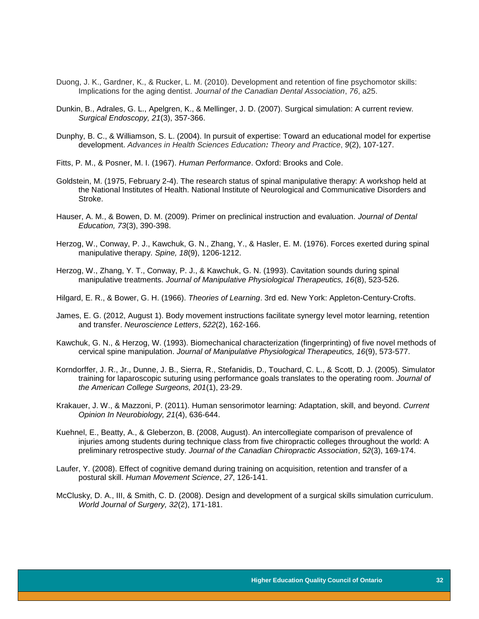- Duong, J. K., Gardner, K., & Rucker, L. M. (2010). Development and retention of fine psychomotor skills: Implications for the aging dentist. *Journal of the Canadian Dental Association*, *76*, a25.
- Dunkin, B., Adrales, G. L., Apelgren, K., & Mellinger, J. D. (2007). Surgical simulation: A current review. *Surgical Endoscopy, 21*(3), 357-366.
- Dunphy, B. C., & Williamson, S. L. (2004). In pursuit of expertise: Toward an educational model for expertise development. *Advances in Health Sciences Education: Theory and Practice*, *9*(2), 107-127.
- Fitts, P. M., & Posner, M. I. (1967). *Human Performance*. Oxford: Brooks and Cole.
- Goldstein, M. (1975, February 2-4). The research status of [spinal manipulative therapy: A workshop held at](http://trove.nla.gov.au/work/11748343?q=text%3A%22NINCDS+monograph+%3B%22&c=book)  [the National Institutes of Health. N](http://trove.nla.gov.au/work/11748343?q=text%3A%22NINCDS+monograph+%3B%22&c=book)ational Institute of Neurological and Communicative Disorders and Stroke.
- Hauser, A. M., & Bowen, D. M. (2009). Primer on preclinical instruction and evaluation. *Journal of Dental Education, 73*(3), 390-398.
- Herzog, W., Conway, P. J., Kawchuk, G. N., Zhang, Y., & Hasler, E. M. (1976). Forces exerted during spinal manipulative therapy. *Spine, 18*(9), 1206-1212.
- Herzog, W., Zhang, Y. T., Conway, P. J., & Kawchuk, G. N. (1993). Cavitation sounds during spinal manipulative treatments. *Journal of Manipulative Physiological Therapeutics, 16*(8), 523-526.
- Hilgard, E. R., & Bower, G. H. (1966). *Theories of Learning*. 3rd ed. New York: Appleton-Century-Crofts.
- James, E. G. (2012, August 1). Body movement instructions facilitate synergy level motor learning, retention and transfer. *Neuroscience Letters*, *522*(2), 162-166.
- Kawchuk, G. N., & Herzog, W. (1993). Biomechanical characterization (fingerprinting) of five novel methods of cervical spine manipulation. *Journal of Manipulative Physiological Therapeutics, 16*(9), 573-577.
- Korndorffer, J. R., Jr., Dunne, J. B., Sierra, R., Stefanidis, D., Touchard, C. L., & Scott, D. J. (2005). Simulator training for laparoscopic suturing using performance goals translates to the operating room. *Journal of the American College Surgeons, 201*(1), 23-29.
- Krakauer, J. W., & Mazzoni, P. (2011). Human sensorimotor learning: Adaptation, skill, and beyond. *Current Opinion In Neurobiology, 21*(4), 636-644.
- Kuehnel, E., Beatty, A., & Gleberzon, B. (2008, August). An intercollegiate comparison of prevalence of injuries among students during technique class from five chiropractic colleges throughout the world: A preliminary retrospective study. *Journal of the Canadian Chiropractic Association*, *52*(3), 169-174.
- Laufer, Y. (2008). Effect of cognitive demand during training on acquisition, retention and transfer of a postural skill. *Human Movement Science*, *27*, 126-141.
- McClusky, D. A., III, & Smith, C. D. (2008). Design and development of a surgical skills simulation curriculum. *World Journal of Surgery, 32*(2), 171-181.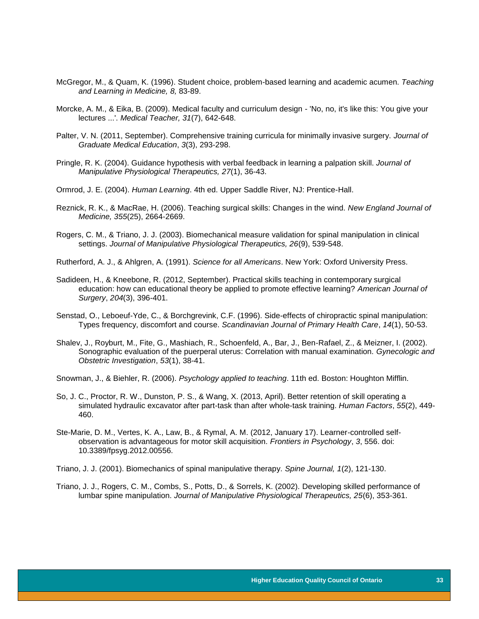- McGregor, M., & Quam, K. (1996). Student choice, problem-based learning and academic acumen. *Teaching and Learning in Medicine, 8,* 83-89.
- Morcke, A. M., & Eika, B. (2009). Medical faculty and curriculum design 'No, no, it's like this: You give your lectures ...'. *Medical Teacher, 31*(7), 642-648.
- Palter, V. N. (2011, September). Comprehensive training curricula for minimally invasive surgery. *Journal of Graduate Medical Education*, *3*(3), 293-298.
- Pringle, R. K. (2004). Guidance hypothesis with verbal feedback in learning a palpation skill. *Journal of Manipulative Physiological Therapeutics, 27*(1), 36-43.
- Ormrod, J. E. (2004). *Human Learning*. 4th ed. Upper Saddle River, NJ: Prentice-Hall.
- Reznick, R. K., & MacRae, H. (2006). Teaching surgical skills: Changes in the wind. *New England Journal of Medicine, 355*(25), 2664-2669.
- Rogers, C. M., & Triano, J. J. (2003). Biomechanical measure validation for spinal manipulation in clinical settings. *Journal of Manipulative Physiological Therapeutics, 26*(9), 539-548.
- Rutherford, A. J., & Ahlgren, A. (1991). *Science for all Americans*. New York: Oxford University Press.
- Sadideen, H., & Kneebone, R. (2012, September). Practical skills teaching in contemporary surgical education: how can educational theory be applied to promote effective learning? *American Journal of Surgery*, *204*(3), 396-401.
- Senstad, O., Leboeuf-Yde, C., & Borchgrevink, C.F. (1996). Side-effects of chiropractic spinal manipulation: Types frequency, discomfort and course. *Scandinavian Journal of Primary Health Care*, *14*(1), 50-53.
- Shalev, J., Royburt, M., Fite, G., Mashiach, R., Schoenfeld, A., Bar, J., Ben-Rafael, Z., & Meizner, I. (2002). Sonographic evaluation of the puerperal uterus: Correlation with manual examination. *Gynecologic and Obstetric Investigation*, *53*(1), 38-41.
- Snowman, J., & Biehler, R. (2006). *Psychology applied to teaching*. 11th ed. Boston: Houghton Mifflin.
- So, J. C., Proctor, R. W., Dunston, P. S., & Wang, X. (2013, April). Better retention of skill operating a simulated hydraulic excavator after part-task than after whole-task training. *Human Factors*, *55*(2), 449- 460.
- Ste-Marie, D. M., Vertes, K. A., Law, B., & Rymal, A. M. (2012, January 17). Learner-controlled selfobservation is advantageous for motor skill acquisition. *Frontiers in Psychology*, *3*, 556. doi: 10.3389/fpsyg.2012.00556.
- Triano, J. J. (2001). Biomechanics of spinal manipulative therapy. *Spine Journal, 1*(2), 121-130.
- Triano, J. J., Rogers, C. M., Combs, S., Potts, D., & Sorrels, K. (2002). Developing skilled performance of lumbar spine manipulation. *Journal of Manipulative Physiological Therapeutics, 25*(6), 353-361.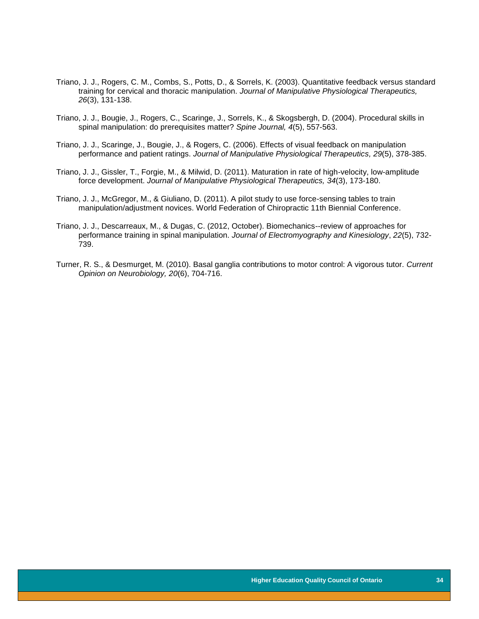- Triano, J. J., Rogers, C. M., Combs, S., Potts, D., & Sorrels, K. (2003). Quantitative feedback versus standard training for cervical and thoracic manipulation. *Journal of Manipulative Physiological Therapeutics, 26*(3), 131-138.
- Triano, J. J., Bougie, J., Rogers, C., Scaringe, J., Sorrels, K., & Skogsbergh, D. (2004). Procedural skills in spinal manipulation: do prerequisites matter? *Spine Journal, 4*(5), 557-563.
- Triano, J. J., Scaringe, J., Bougie, J., & Rogers, C. (2006). Effects of visual feedback on manipulation performance and patient ratings. *Journal of Manipulative Physiological Therapeutics, 29*(5), 378-385.
- Triano, J. J., Gissler, T., Forgie, M., & Milwid, D. (2011). Maturation in rate of high-velocity, low-amplitude force development. *Journal of Manipulative Physiological Therapeutics, 34*(3), 173-180.
- Triano, J. J., McGregor, M., & Giuliano, D. (2011). A pilot study to use force-sensing tables to train manipulation/adjustment novices. World Federation of Chiropractic 11th Biennial Conference.
- Triano, J. J., Descarreaux, M., & Dugas, C. (2012, October). Biomechanics--review of approaches for performance training in spinal manipulation. *Journal of Electromyography and Kinesiology*, *22*(5), 732- 739.
- Turner, R. S., & Desmurget, M. (2010). Basal ganglia contributions to motor control: A vigorous tutor. *Current Opinion on Neurobiology, 20*(6), 704-716.